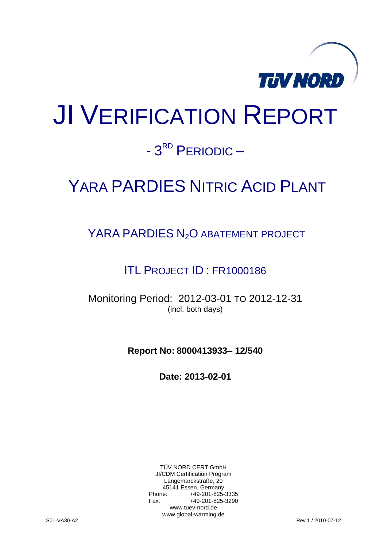

# JI VERIFICATION REPORT

# - 3<sup>RD</sup> PERIODIC -

# YARA PARDIES NITRIC ACID PLANT

YARA PARDIES N<sub>2</sub>O ABATEMENT PROJECT

ITL PROJECT ID : FR1000186

Monitoring Period: 2012-03-01 TO 2012-12-31 (incl. both days)

**Report No: 8000413933– 12/540**

**Date: 2013-02-01**

TÜV NORD CERT GmbH JI/CDM Certification Program Langemarckstraße, 20 45141 Essen, Germany<br>+49-201-825-49 +49-201-825-3335 Fax: +49-201-825-3290 www.tuev-nord.de www.global-warming.de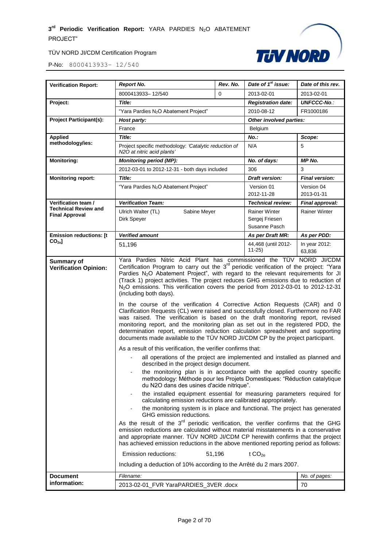

| <b>Verification Report:</b>                                 | <b>Report No.</b>                                                                                                                                                                                                                                                                                                                                                                                                                                                                                                                                                                                                                                                                                                                                                                                                                                                                                                                                                                                                                                                                                                                                                                                                                                                                                                                                                                                                                                                                                                                                                                                                                                                                                                                                                                                                                                                                                                                                            | Rev. No. | Date of 1 <sup>st</sup> issue:                          | Date of this rev.       |
|-------------------------------------------------------------|--------------------------------------------------------------------------------------------------------------------------------------------------------------------------------------------------------------------------------------------------------------------------------------------------------------------------------------------------------------------------------------------------------------------------------------------------------------------------------------------------------------------------------------------------------------------------------------------------------------------------------------------------------------------------------------------------------------------------------------------------------------------------------------------------------------------------------------------------------------------------------------------------------------------------------------------------------------------------------------------------------------------------------------------------------------------------------------------------------------------------------------------------------------------------------------------------------------------------------------------------------------------------------------------------------------------------------------------------------------------------------------------------------------------------------------------------------------------------------------------------------------------------------------------------------------------------------------------------------------------------------------------------------------------------------------------------------------------------------------------------------------------------------------------------------------------------------------------------------------------------------------------------------------------------------------------------------------|----------|---------------------------------------------------------|-------------------------|
|                                                             | 8000413933-12/540                                                                                                                                                                                                                                                                                                                                                                                                                                                                                                                                                                                                                                                                                                                                                                                                                                                                                                                                                                                                                                                                                                                                                                                                                                                                                                                                                                                                                                                                                                                                                                                                                                                                                                                                                                                                                                                                                                                                            | 0        | 2013-02-01                                              | 2013-02-01              |
| Project:                                                    | Title:                                                                                                                                                                                                                                                                                                                                                                                                                                                                                                                                                                                                                                                                                                                                                                                                                                                                                                                                                                                                                                                                                                                                                                                                                                                                                                                                                                                                                                                                                                                                                                                                                                                                                                                                                                                                                                                                                                                                                       |          | <b>Registration date:</b>                               | <b>UNFCCC-No.:</b>      |
|                                                             | "Yara Pardies N <sub>2</sub> O Abatement Project"                                                                                                                                                                                                                                                                                                                                                                                                                                                                                                                                                                                                                                                                                                                                                                                                                                                                                                                                                                                                                                                                                                                                                                                                                                                                                                                                                                                                                                                                                                                                                                                                                                                                                                                                                                                                                                                                                                            |          | 2010-08-12                                              | FR1000186               |
| <b>Project Participant(s):</b>                              | Host party:                                                                                                                                                                                                                                                                                                                                                                                                                                                                                                                                                                                                                                                                                                                                                                                                                                                                                                                                                                                                                                                                                                                                                                                                                                                                                                                                                                                                                                                                                                                                                                                                                                                                                                                                                                                                                                                                                                                                                  |          | Other involved parties:                                 |                         |
|                                                             | France                                                                                                                                                                                                                                                                                                                                                                                                                                                                                                                                                                                                                                                                                                                                                                                                                                                                                                                                                                                                                                                                                                                                                                                                                                                                                                                                                                                                                                                                                                                                                                                                                                                                                                                                                                                                                                                                                                                                                       |          | Belgium                                                 |                         |
| <b>Applied</b>                                              | Title:                                                                                                                                                                                                                                                                                                                                                                                                                                                                                                                                                                                                                                                                                                                                                                                                                                                                                                                                                                                                                                                                                                                                                                                                                                                                                                                                                                                                                                                                                                                                                                                                                                                                                                                                                                                                                                                                                                                                                       |          | No.:                                                    | Scope:                  |
| methodology/ies:                                            | Project specific methodology: 'Catalytic reduction of<br>N2O at nitric acid plants'                                                                                                                                                                                                                                                                                                                                                                                                                                                                                                                                                                                                                                                                                                                                                                                                                                                                                                                                                                                                                                                                                                                                                                                                                                                                                                                                                                                                                                                                                                                                                                                                                                                                                                                                                                                                                                                                          |          | N/A                                                     | 5                       |
| <b>Monitoring:</b>                                          | <b>Monitoring period (MP):</b>                                                                                                                                                                                                                                                                                                                                                                                                                                                                                                                                                                                                                                                                                                                                                                                                                                                                                                                                                                                                                                                                                                                                                                                                                                                                                                                                                                                                                                                                                                                                                                                                                                                                                                                                                                                                                                                                                                                               |          | No. of days:                                            | MP No.                  |
|                                                             | 2012-03-01 to 2012-12-31 - both days included                                                                                                                                                                                                                                                                                                                                                                                                                                                                                                                                                                                                                                                                                                                                                                                                                                                                                                                                                                                                                                                                                                                                                                                                                                                                                                                                                                                                                                                                                                                                                                                                                                                                                                                                                                                                                                                                                                                |          | 306                                                     | 3                       |
| <b>Monitoring report:</b>                                   | Title:                                                                                                                                                                                                                                                                                                                                                                                                                                                                                                                                                                                                                                                                                                                                                                                                                                                                                                                                                                                                                                                                                                                                                                                                                                                                                                                                                                                                                                                                                                                                                                                                                                                                                                                                                                                                                                                                                                                                                       |          | <b>Draft version:</b>                                   | <b>Final version:</b>   |
|                                                             | "Yara Pardies N <sub>2</sub> O Abatement Project"                                                                                                                                                                                                                                                                                                                                                                                                                                                                                                                                                                                                                                                                                                                                                                                                                                                                                                                                                                                                                                                                                                                                                                                                                                                                                                                                                                                                                                                                                                                                                                                                                                                                                                                                                                                                                                                                                                            |          | Version 01                                              | Version 04              |
|                                                             |                                                                                                                                                                                                                                                                                                                                                                                                                                                                                                                                                                                                                                                                                                                                                                                                                                                                                                                                                                                                                                                                                                                                                                                                                                                                                                                                                                                                                                                                                                                                                                                                                                                                                                                                                                                                                                                                                                                                                              |          | 2012-11-28                                              | 2013-01-31              |
| Verification team /<br><b>Technical Review and</b>          | <b>Verification Team:</b>                                                                                                                                                                                                                                                                                                                                                                                                                                                                                                                                                                                                                                                                                                                                                                                                                                                                                                                                                                                                                                                                                                                                                                                                                                                                                                                                                                                                                                                                                                                                                                                                                                                                                                                                                                                                                                                                                                                                    |          | Technical review:                                       | Final approval:         |
| <b>Final Approval</b>                                       | Ulrich Walter (TL)<br>Sabine Meyer<br>Dirk Speyer                                                                                                                                                                                                                                                                                                                                                                                                                                                                                                                                                                                                                                                                                                                                                                                                                                                                                                                                                                                                                                                                                                                                                                                                                                                                                                                                                                                                                                                                                                                                                                                                                                                                                                                                                                                                                                                                                                            |          | <b>Rainer Winter</b><br>Sergej Friesen<br>Susanne Pasch | <b>Rainer Winter</b>    |
| <b>Emission reductions: [t</b>                              | <b>Verified amount</b>                                                                                                                                                                                                                                                                                                                                                                                                                                                                                                                                                                                                                                                                                                                                                                                                                                                                                                                                                                                                                                                                                                                                                                                                                                                                                                                                                                                                                                                                                                                                                                                                                                                                                                                                                                                                                                                                                                                                       |          | As per Draft MR:                                        | As per PDD:             |
| $CO2e$ ]                                                    | 51,196                                                                                                                                                                                                                                                                                                                                                                                                                                                                                                                                                                                                                                                                                                                                                                                                                                                                                                                                                                                                                                                                                                                                                                                                                                                                                                                                                                                                                                                                                                                                                                                                                                                                                                                                                                                                                                                                                                                                                       |          | 44,468 (until 2012-<br>$11 - 25$                        | In year 2012:<br>63,836 |
|                                                             | Certification Program to carry out the 3 <sup>rd</sup> periodic verification of the project: "Yara<br>Pardies N <sub>2</sub> O Abatement Project", with regard to the relevant requirements for JI<br>(Track 1) project activities. The project reduces GHG emissions due to reduction of<br>N <sub>2</sub> O emissions. This verification covers the period from 2012-03-01 to 2012-12-31<br>(including both days).<br>In the course of the verification 4 Corrective Action Requests (CAR) and 0<br>Clarification Requests (CL) were raised and successfully closed. Furthermore no FAR<br>was raised. The verification is based on the draft monitoring report, revised<br>monitoring report, and the monitoring plan as set out in the registered PDD, the<br>determination report, emission reduction calculation spreadsheet and supporting<br>documents made available to the TÜV NORD JI/CDM CP by the project participant.<br>As a result of this verification, the verifier confirms that:<br>all operations of the project are implemented and installed as planned and<br>described in the project design document.<br>the monitoring plan is in accordance with the applied country specific<br>methodology: Méthode pour les Projets Domestiques: "Réduction catalytique<br>du N2O dans des usines d'acide nitrique".<br>the installed equipment essential for measuring parameters required for<br>calculating emission reductions are calibrated appropriately.<br>the monitoring system is in place and functional. The project has generated<br>GHG emission reductions.<br>As the result of the 3 <sup>rd</sup> periodic verification, the verifier confirms that the GHG<br>emission reductions are calculated without material misstatements in a conservative<br>and appropriate manner. TÜV NORD JI/CDM CP herewith confirms that the project<br>has achieved emission reductions in the above mentioned reporting period as follows: |          |                                                         |                         |
|                                                             | Including a deduction of 10% according to the Arrêté du 2 mars 2007.                                                                                                                                                                                                                                                                                                                                                                                                                                                                                                                                                                                                                                                                                                                                                                                                                                                                                                                                                                                                                                                                                                                                                                                                                                                                                                                                                                                                                                                                                                                                                                                                                                                                                                                                                                                                                                                                                         |          |                                                         |                         |
| <b>Document</b>                                             | Filename:<br>No. of pages:                                                                                                                                                                                                                                                                                                                                                                                                                                                                                                                                                                                                                                                                                                                                                                                                                                                                                                                                                                                                                                                                                                                                                                                                                                                                                                                                                                                                                                                                                                                                                                                                                                                                                                                                                                                                                                                                                                                                   |          |                                                         |                         |
| information:<br>2013-02-01_FVR YaraPARDIES_3VER .docx<br>70 |                                                                                                                                                                                                                                                                                                                                                                                                                                                                                                                                                                                                                                                                                                                                                                                                                                                                                                                                                                                                                                                                                                                                                                                                                                                                                                                                                                                                                                                                                                                                                                                                                                                                                                                                                                                                                                                                                                                                                              |          |                                                         |                         |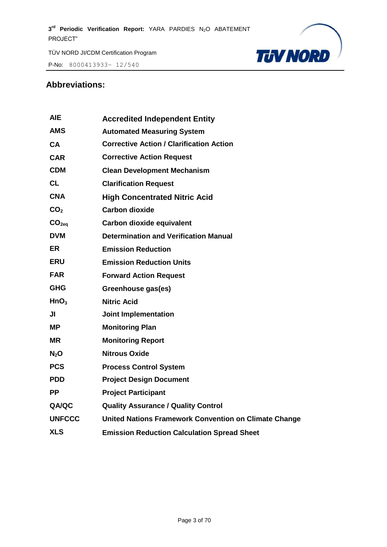P-No: 8000413933– 12/540



#### **Abbreviations:**

| <b>AIE</b>        | <b>Accredited Independent Entity</b>                  |
|-------------------|-------------------------------------------------------|
| <b>AMS</b>        | <b>Automated Measuring System</b>                     |
| <b>CA</b>         | <b>Corrective Action / Clarification Action</b>       |
| <b>CAR</b>        | <b>Corrective Action Request</b>                      |
| <b>CDM</b>        | <b>Clean Development Mechanism</b>                    |
| <b>CL</b>         | <b>Clarification Request</b>                          |
| <b>CNA</b>        | <b>High Concentrated Nitric Acid</b>                  |
| CO <sub>2</sub>   | <b>Carbon dioxide</b>                                 |
| CO <sub>2eq</sub> | Carbon dioxide equivalent                             |
| <b>DVM</b>        | <b>Determination and Verification Manual</b>          |
| <b>ER</b>         | <b>Emission Reduction</b>                             |
| <b>ERU</b>        | <b>Emission Reduction Units</b>                       |
| <b>FAR</b>        | <b>Forward Action Request</b>                         |
| <b>GHG</b>        | Greenhouse gas(es)                                    |
| HnO <sub>3</sub>  | <b>Nitric Acid</b>                                    |
| JI                | <b>Joint Implementation</b>                           |
| <b>MP</b>         | <b>Monitoring Plan</b>                                |
| <b>MR</b>         | <b>Monitoring Report</b>                              |
| $N_2$ O           | <b>Nitrous Oxide</b>                                  |
| <b>PCS</b>        | <b>Process Control System</b>                         |
| <b>PDD</b>        | <b>Project Design Document</b>                        |
| PP.               | <b>Project Participant</b>                            |
| QA/QC             | <b>Quality Assurance / Quality Control</b>            |
| <b>UNFCCC</b>     | United Nations Framework Convention on Climate Change |
| <b>XLS</b>        | <b>Emission Reduction Calculation Spread Sheet</b>    |
|                   |                                                       |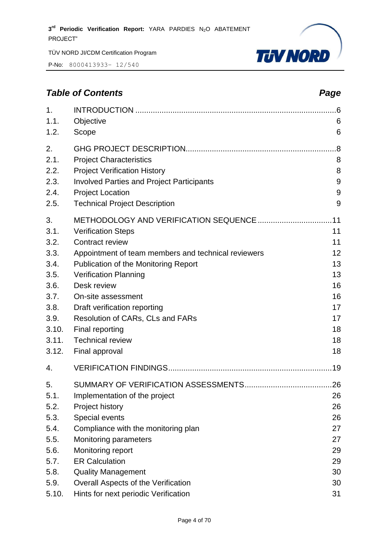P-No: 8000413933– 12/540



# *Table of Contents Page*

| 1.<br>1.1.<br>1.2.         | Objective<br>Scope                                                                                                        | 6<br>6            |
|----------------------------|---------------------------------------------------------------------------------------------------------------------------|-------------------|
| 2.<br>2.1.<br>2.2.<br>2.3. | <b>Project Characteristics</b><br><b>Project Verification History</b><br><b>Involved Parties and Project Participants</b> | .8<br>8<br>8<br>9 |
| 2.4.<br>2.5.               | <b>Project Location</b><br><b>Technical Project Description</b>                                                           | 9<br>9            |
| 3.                         |                                                                                                                           |                   |
| 3.1.                       | <b>Verification Steps</b>                                                                                                 | 11                |
| 3.2.<br>3.3.               | <b>Contract review</b><br>Appointment of team members and technical reviewers                                             | 11<br>12          |
| 3.4.                       | Publication of the Monitoring Report                                                                                      | 13                |
| 3.5.                       | <b>Verification Planning</b>                                                                                              | 13                |
| 3.6.                       | Desk review                                                                                                               | 16                |
| 3.7.                       | On-site assessment                                                                                                        | 16                |
| 3.8.                       | Draft verification reporting                                                                                              | 17                |
| 3.9.                       | Resolution of CARs, CLs and FARs                                                                                          | 17                |
| 3.10.                      | Final reporting                                                                                                           | 18                |
| 3.11.                      | <b>Technical review</b>                                                                                                   | 18                |
| 3.12.                      | Final approval                                                                                                            | 18                |
| 4.                         |                                                                                                                           |                   |
| 5.                         |                                                                                                                           |                   |
| 5.1.                       | Implementation of the project                                                                                             | 26                |
| 5.2.                       | Project history                                                                                                           | 26                |
| 5.3.                       | Special events                                                                                                            | 26                |
| 5.4.                       | Compliance with the monitoring plan                                                                                       | 27                |
| 5.5.                       | <b>Monitoring parameters</b>                                                                                              | 27                |
| 5.6.                       | Monitoring report                                                                                                         | 29                |
| 5.7.                       | <b>ER Calculation</b>                                                                                                     | 29                |
| 5.8.                       | <b>Quality Management</b>                                                                                                 | 30                |
| 5.9.                       | Overall Aspects of the Verification                                                                                       | 30                |
| 5.10.                      | Hints for next periodic Verification                                                                                      | 31                |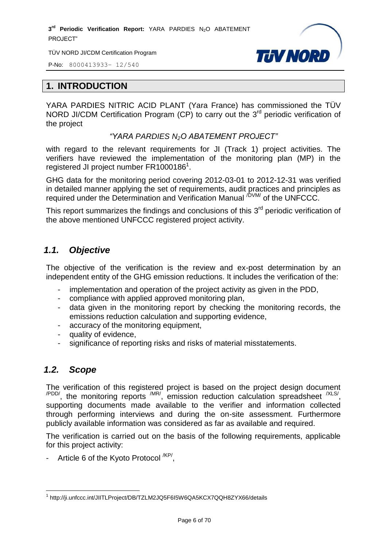TÜV NORD JI/CDM Certification Program



P-No: 8000413933– 12/540

#### <span id="page-5-0"></span>**1. INTRODUCTION**

YARA PARDIES NITRIC ACID PLANT (Yara France) has commissioned the TÜV NORD JI/CDM Certification Program (CP) to carry out the  $3<sup>rd</sup>$  periodic verification of the project

*"YARA PARDIES N2O ABATEMENT PROJECT"*

with regard to the relevant requirements for JI (Track 1) project activities. The verifiers have reviewed the implementation of the monitoring plan (MP) in the registered JI project number FR1000186<sup>1</sup>.

GHG data for the monitoring period covering 2012-03-01 to 2012-12-31 was verified in detailed manner applying the set of requirements, audit practices and principles as required under the Determination and Verification Manual <sup>/DVM/</sup> of the UNFCCC.

This report summarizes the findings and conclusions of this  $3<sup>rd</sup>$  periodic verification of the above mentioned UNFCCC registered project activity.

# <span id="page-5-1"></span>*1.1. Objective*

The objective of the verification is the review and ex-post determination by an independent entity of the GHG emission reductions. It includes the verification of the:

- implementation and operation of the project activity as given in the PDD,
- compliance with applied approved monitoring plan,
- data given in the monitoring report by checking the monitoring records, the emissions reduction calculation and supporting evidence,
- accuracy of the monitoring equipment,
- quality of evidence,
- significance of reporting risks and risks of material misstatements.

# <span id="page-5-2"></span>*1.2. Scope*

The verification of this registered project is based on the project design document  $\mu_{\text{PDD}}$ , the monitoring reports  $\mu_{\text{IR}}$ , emission reduction calculation spreadsheet  $\mu_{\text{ILS}}$ , supporting documents made available to the verifier and information collected through performing interviews and during the on-site assessment. Furthermore publicly available information was considered as far as available and required.

The verification is carried out on the basis of the following requirements, applicable for this project activity:

- Article 6 of the Kyoto Protocol <sup>/KP/</sup>,

 $\overline{a}$ <sup>1</sup> http://ji.unfccc.int/JIITLProject/DB/TZLM2JQ5F6I5W6QA5KCX7QQH8ZYX66/details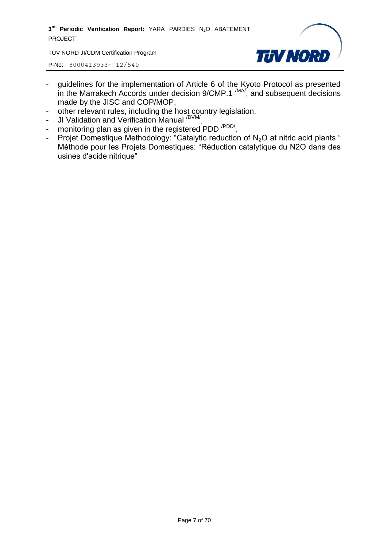TÜV NORD JI/CDM Certification Program



- guidelines for the implementation of Article 6 of the Kyoto Protocol as presented in the Marrakech Accords under decision  $9/CMP.1$   $^{(MA)}$ , and subsequent decisions made by the JISC and COP/MOP,
- other relevant rules, including the host country legislation,
- JI Validation and Verification Manual <sup>/DVM/</sup>,
- monitoring plan as given in the registered PDD <sup>/PDD/</sup>,
- Projet Domestique Methodology: "Catalytic reduction of N<sub>2</sub>O at nitric acid plants " Méthode pour les Projets Domestiques: "Réduction catalytique du N2O dans des usines d'acide nitrique"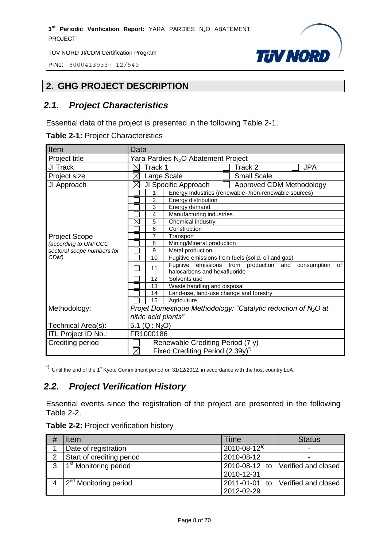P-No: 8000413933– 12/540



# <span id="page-7-0"></span>**2. GHG PROJECT DESCRIPTION**

# <span id="page-7-1"></span>*2.1. Project Characteristics*

Essential data of the project is presented in the following Table 2-1.

| Item                       | Data                                                                                              |  |  |
|----------------------------|---------------------------------------------------------------------------------------------------|--|--|
| Project title              | Yara Pardies N <sub>2</sub> O Abatement Project                                                   |  |  |
| JI Track                   | Track 1<br><b>JPA</b><br>Track 2                                                                  |  |  |
| Project size               | <b>Small Scale</b><br>Large Scale                                                                 |  |  |
| JI Approach                | JI Specific Approach<br>Approved CDM Methodology<br>$\times$                                      |  |  |
|                            | Energy Industries (renewable-/non-renewable sources)                                              |  |  |
|                            | $\overline{2}$<br>Energy distribution                                                             |  |  |
|                            | 3<br>Energy demand                                                                                |  |  |
|                            | 4<br>Manufacturing industries                                                                     |  |  |
|                            | $\boxtimes$<br>Chemical industry<br>5                                                             |  |  |
|                            | 6<br>Construction                                                                                 |  |  |
| <b>Project Scope</b>       | 7<br>Transport                                                                                    |  |  |
| (according to UNFCCC       | Mining/Mineral production<br>8                                                                    |  |  |
| sectoral scope numbers for | 9<br>Metal production                                                                             |  |  |
| CDM)                       | Fugitive emissions from fuels (solid, oil and gas)<br>10                                          |  |  |
|                            | Fugitive emissions from production and<br>consumption<br>of<br>11<br>halocarbons and hexafluoride |  |  |
|                            | 12<br>Solvents use                                                                                |  |  |
|                            | Waste handling and disposal<br>13                                                                 |  |  |
|                            | Land-use, land-use change and forestry<br>14                                                      |  |  |
|                            | 15<br>Agriculture                                                                                 |  |  |
| Methodology:               | Projet Domestique Methodology: "Catalytic reduction of $N_2O$ at                                  |  |  |
|                            | nitric acid plants"                                                                               |  |  |
| Technical Area(s):         | 5.1 ( $Q: N_2O$ )                                                                                 |  |  |
| ITL Project ID No.:        | FR1000186                                                                                         |  |  |
| <b>Crediting period</b>    | Renewable Crediting Period (7 y)                                                                  |  |  |
|                            | Fixed Crediting Period (2.39y) <sup>*</sup>                                                       |  |  |

 $\alpha$ <sup>\*)</sup> Until the end of the 1<sup>st</sup> Kyoto Commitment period on 31/12/2012, in accordance with the host country LoA.

# <span id="page-7-2"></span>*2.2. Project Verification History*

Essential events since the registration of the project are presented in the following Table 2-2.

|  | <b>Table 2-2: Project verification history</b> |  |
|--|------------------------------------------------|--|
|--|------------------------------------------------|--|

|   | Item                              | Time                 | <b>Status</b>       |
|---|-----------------------------------|----------------------|---------------------|
|   | Date of registration              | $2010 - 08 - 12^{a}$ |                     |
| 2 | Start of crediting period         | 2010-08-12           |                     |
| 3 | 1 <sup>st</sup> Monitoring period | 2010-08-12 to        | Verified and closed |
|   |                                   | 2010-12-31           |                     |
|   | 2 <sup>nd</sup> Monitoring period | 2011-01-01 to        | Verified and closed |
|   |                                   | 2012-02-29           |                     |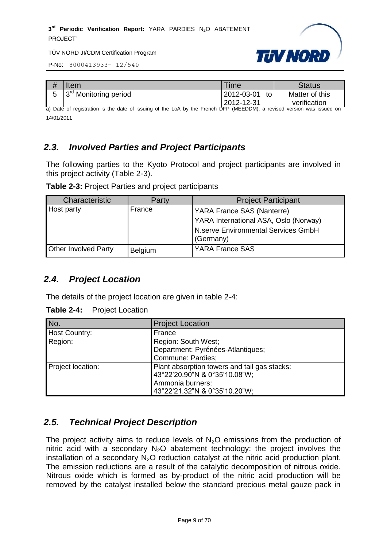



| # | Item                              | <b>Time</b>      | Status         |
|---|-----------------------------------|------------------|----------------|
|   | 3 <sup>rd</sup> Monitoring period | 2012-03-01<br>to | Matter of this |
|   |                                   | 2012-12-31       | verification   |

a) Date of registration is the date of issuing of the LoA by the French DFP (MEEDDM); a revised version was issued on 14/01/2011

# <span id="page-8-0"></span>*2.3. Involved Parties and Project Participants*

The following parties to the Kyoto Protocol and project participants are involved in this project activity (Table 2-3).

| Table 2-3: Project Parties and project participants |  |  |  |
|-----------------------------------------------------|--|--|--|
|-----------------------------------------------------|--|--|--|

| <b>Characteristic</b>       | Party          | <b>Project Participant</b>                       |
|-----------------------------|----------------|--------------------------------------------------|
| Host party                  | France         | YARA France SAS (Nanterre)                       |
|                             |                | YARA International ASA, Oslo (Norway)            |
|                             |                | N.serve Environmental Services GmbH<br>(Germany) |
| <b>Other Involved Party</b> | <b>Belgium</b> | <b>YARA France SAS</b>                           |

# <span id="page-8-1"></span>*2.4. Project Location*

The details of the project location are given in table 2-4:

| <b>Table 2-4:</b> | <b>Project Location</b> |
|-------------------|-------------------------|
|-------------------|-------------------------|

| No.               | <b>Project Location</b>                      |  |  |  |  |
|-------------------|----------------------------------------------|--|--|--|--|
| Host Country:     | France                                       |  |  |  |  |
| Region:           | Region: South West;                          |  |  |  |  |
|                   | Department: Pyrénées-Atlantiques;            |  |  |  |  |
|                   | Commune: Pardies;                            |  |  |  |  |
| Project location: | Plant absorption towers and tail gas stacks: |  |  |  |  |
|                   | 43°22'20.90"N & 0°35'10.08"W;                |  |  |  |  |
|                   | Ammonia burners:                             |  |  |  |  |
|                   | 43°22'21.32"N & 0°35'10.20"W;                |  |  |  |  |

# <span id="page-8-2"></span>*2.5. Technical Project Description*

The project activity aims to reduce levels of  $N<sub>2</sub>O$  emissions from the production of nitric acid with a secondary  $N_2O$  abatement technology: the project involves the installation of a secondary  $N_2O$  reduction catalyst at the nitric acid production plant. The emission reductions are a result of the catalytic decomposition of nitrous oxide. Nitrous oxide which is formed as by-product of the nitric acid production will be removed by the catalyst installed below the standard precious metal gauze pack in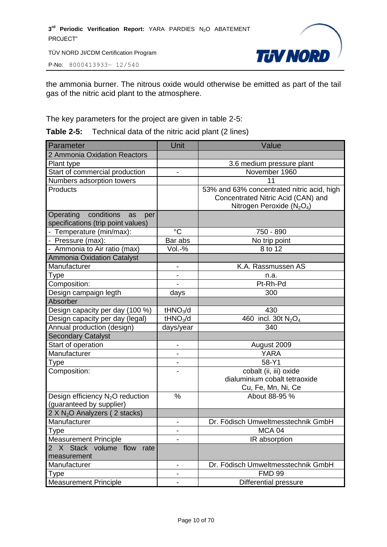P-No: 8000413933– 12/540



the ammonia burner. The nitrous oxide would otherwise be emitted as part of the tail gas of the nitric acid plant to the atmosphere.

The key parameters for the project are given in table 2-5:

**Table 2-5:** Technical data of the nitric acid plant (2 lines)

| Parameter                                                                  | Unit                         | Value                                                                                                              |
|----------------------------------------------------------------------------|------------------------------|--------------------------------------------------------------------------------------------------------------------|
| 2 Ammonia Oxidation Reactors                                               |                              |                                                                                                                    |
| Plant type                                                                 |                              | 3.6 medium pressure plant                                                                                          |
| Start of commercial production                                             |                              | November 1960                                                                                                      |
| Numbers adsorption towers                                                  |                              | 11                                                                                                                 |
| Products                                                                   |                              | 53% and 63% concentrated nitric acid, high<br>Concentrated Nitric Acid (CAN) and<br>Nitrogen Peroxide ( $N_2O_4$ ) |
| conditions<br>Operating<br>as<br>per<br>specifications (trip point values) |                              |                                                                                                                    |
| - Temperature (min/max):                                                   | $\rm ^{\circ}C$              | 750 - 890                                                                                                          |
| - Pressure (max):                                                          | Bar abs                      | No trip point                                                                                                      |
| - Ammonia to Air ratio (max)                                               | $Vol.-%$                     | 8 to 12                                                                                                            |
| <b>Ammonia Oxidation Catalyst</b>                                          |                              |                                                                                                                    |
| Manufacturer                                                               | $\qquad \qquad \blacksquare$ | K.A. Rassmussen AS                                                                                                 |
| Type                                                                       | $\overline{\phantom{a}}$     | n.a.                                                                                                               |
| Composition:                                                               |                              | Pt-Rh-Pd                                                                                                           |
| Design campaign legth                                                      | days                         | 300                                                                                                                |
| Absorber                                                                   |                              |                                                                                                                    |
| Design capacity per day (100 %)                                            | tHNO <sub>3</sub> /d         | 430                                                                                                                |
| Design capacity per day (legal)                                            | tHNO <sub>3</sub> /d         | $\overline{460}$ incl. 30t $N_2O_4$                                                                                |
| Annual production (design)                                                 | days/year                    | 340                                                                                                                |
| <b>Secondary Catalyst</b>                                                  |                              |                                                                                                                    |
| Start of operation                                                         | $\qquad \qquad \blacksquare$ | August 2009                                                                                                        |
| Manufacturer                                                               |                              | <b>YARA</b>                                                                                                        |
| Type                                                                       | $\overline{\phantom{0}}$     | 58-Y1                                                                                                              |
| Composition:                                                               |                              | cobalt (ii, iii) oxide<br>dialuminium cobalt tetraoxide<br>Cu, Fe, Mn, Ni, Ce                                      |
| Design efficiency N <sub>2</sub> O reduction<br>(guaranteed by supplier)   | %                            | About 88-95 %                                                                                                      |
| 2 X N <sub>2</sub> O Analyzers (2 stacks)                                  |                              |                                                                                                                    |
| Manufacturer                                                               | $\qquad \qquad \blacksquare$ | Dr. Födisch Umweltmesstechnik GmbH                                                                                 |
| <b>Type</b>                                                                | -                            | MCA <sub>04</sub>                                                                                                  |
| <b>Measurement Principle</b>                                               |                              | IR absorption                                                                                                      |
| 2 X Stack volume flow<br>rate<br>measurement                               |                              |                                                                                                                    |
| Manufacturer                                                               | -                            | Dr. Födisch Umweltmesstechnik GmbH                                                                                 |
| Type                                                                       | -                            | <b>FMD 99</b>                                                                                                      |
| <b>Measurement Principle</b>                                               | -                            | Differential pressure                                                                                              |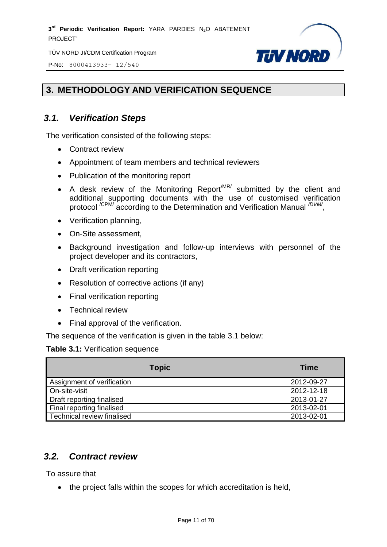P-No: 8000413933– 12/540



# <span id="page-10-0"></span>**3. METHODOLOGY AND VERIFICATION SEQUENCE**

# <span id="page-10-1"></span>*3.1. Verification Steps*

The verification consisted of the following steps:

- Contract review
- Appointment of team members and technical reviewers
- Publication of the monitoring report
- A desk review of the Monitoring Report<sup>MR/</sup> submitted by the client and additional supporting documents with the use of customised verification protocol<sup>/CPM/</sup> according to the Determination and Verification Manual <sup>/DVM/</sup>,
- Verification planning,
- On-Site assessment,
- Background investigation and follow-up interviews with personnel of the project developer and its contractors,
- Draft verification reporting
- Resolution of corrective actions (if any)
- Final verification reporting
- Technical review
- Final approval of the verification.

The sequence of the verification is given in the table 3.1 below:

#### **Table 3.1:** Verification sequence

| <b>Topic</b>               | <b>Time</b> |
|----------------------------|-------------|
| Assignment of verification | 2012-09-27  |
| On-site-visit              | 2012-12-18  |
| Draft reporting finalised  | 2013-01-27  |
| Final reporting finalised  | 2013-02-01  |
| Technical review finalised | 2013-02-01  |

# <span id="page-10-2"></span>*3.2. Contract review*

To assure that

• the project falls within the scopes for which accreditation is held,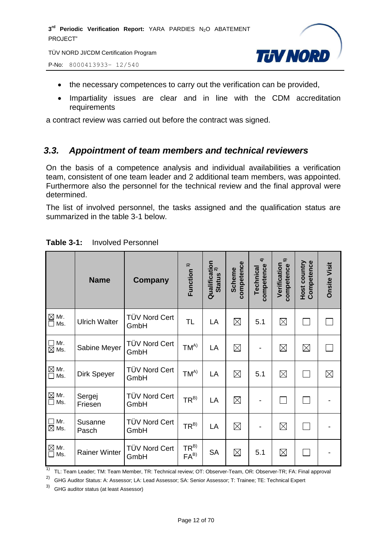TÜV NORD JI/CDM Certification Program

P-No: 8000413933– 12/540



- the necessary competences to carry out the verification can be provided,
- Impartiality issues are clear and in line with the CDM accreditation requirements

a contract review was carried out before the contract was signed.

#### <span id="page-11-0"></span>*3.3. Appointment of team members and technical reviewers*

On the basis of a competence analysis and individual availabilities a verification team, consistent of one team leader and 2 additional team members, was appointed. Furthermore also the personnel for the technical review and the final approval were determined.

The list of involved personnel, the tasks assigned and the qualification status are summarized in the table 3-1 below.

|                                                       | <b>Name</b>          | Company                      | Function <sup>1)</sup> | Qualification<br>Status 2)<br><b>Status</b> | competence<br><b>Scheme</b> | $\hat{+}$<br>competence<br>Technical | 5<br>Verification<br>competence | Competence<br><b>Host country</b> | <b>Onsite Visit</b> |
|-------------------------------------------------------|----------------------|------------------------------|------------------------|---------------------------------------------|-----------------------------|--------------------------------------|---------------------------------|-----------------------------------|---------------------|
| $\boxtimes$ Mr.<br>$\square$ Ms.                      | <b>Ulrich Walter</b> | <b>TÜV Nord Cert</b><br>GmbH | TL                     | LA                                          | $\boxtimes$                 | 5.1                                  | $\boxtimes$                     |                                   |                     |
| $\Box$ Mr.<br>$\boxtimes$ Ms.                         | Sabine Meyer         | <b>TÜV Nord Cert</b><br>GmbH | $TM^{A)}$              | LA                                          | $\boxtimes$                 |                                      | $\boxtimes$                     | $\boxtimes$                       |                     |
| ⊠ Mr.<br>□ Ms.                                        | Dirk Speyer          | TÜV Nord Cert<br>GmbH        | $TM^{A)}$              | LA                                          | $\boxtimes$                 | 5.1                                  | $\boxtimes$                     | $\mathbf{r}$                      | $\boxtimes$         |
| $\mathbf{\underline{\boxtimes}}$ Mr.<br>$\square$ Ms. | Sergej<br>Friesen    | TÜV Nord Cert<br>GmbH        | $TR^{B)}$              | LA                                          | $\boxtimes$                 |                                      | $\mathbb{R}^n$                  |                                   |                     |
| $\Box$ Mr.<br>$\boxtimes$ Ms.                         | Susanne<br>Pasch     | TÜV Nord Cert<br>GmbH        | $TR^{B)}$              | LA                                          | $\boxtimes$                 |                                      | $\boxtimes$                     |                                   |                     |
| $\mathbb{\underline{\boxtimes}}$ Mr.<br>$\Box$ Ms.    | <b>Rainer Winter</b> | <b>TÜV Nord Cert</b><br>GmbH | $TR^{B)}$<br>$FA^{B}$  | <b>SA</b>                                   | $\boxtimes$                 | 5.1                                  | $\boxtimes$                     |                                   |                     |

#### **Table 3-1:** Involved Personnel

<sup>1)</sup> TL: Team Leader; TM: Team Member, TR: Technical review; OT: Observer-Team, OR: Observer-TR; FA: Final approval

<sup>2)</sup> GHG Auditor Status: A: Assessor; LA: Lead Assessor; SA: Senior Assessor; T: Trainee; TE: Technical Expert

3) GHG auditor status (at least Assessor)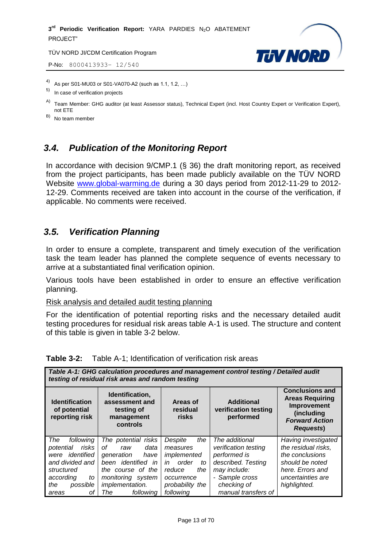P-No: 8000413933– 12/540



4) As per S01-MU03 or S01-VA070-A2 (such as 1.1, 1.2, …)

- In case of verification projects
- A) Team Member: GHG auditor (at least Assessor status), Technical Expert (incl. Host Country Expert or Verification Expert), not ETE

B) No team member

# <span id="page-12-0"></span>*3.4. Publication of the Monitoring Report*

In accordance with decision 9/CMP.1 (§ 36) the draft monitoring report, as received from the project participants, has been made publicly available on the TÜV NORD Website [www.global-warming.de](http://www.global-warming.de/) during a 30 days period from 2012-11-29 to 2012- 12-29. Comments received are taken into account in the course of the verification, if applicable. No comments were received.

# <span id="page-12-1"></span>*3.5. Verification Planning*

In order to ensure a complete, transparent and timely execution of the verification task the team leader has planned the complete sequence of events necessary to arrive at a substantiated final verification opinion.

Various tools have been established in order to ensure an effective verification planning.

Risk analysis and detailed audit testing planning

For the identification of potential reporting risks and the necessary detailed audit testing procedures for residual risk areas table A-1 is used. The structure and content of this table is given in table 3-2 below.

| Table A-1: GHG calculation procedures and management control testing / Detailed audit<br>testing of residual risk areas and random testing         |                                                                                                                                                                                       |                                                                                                                               |                                                                                                                                                      |                                                                                                                                           |  |  |
|----------------------------------------------------------------------------------------------------------------------------------------------------|---------------------------------------------------------------------------------------------------------------------------------------------------------------------------------------|-------------------------------------------------------------------------------------------------------------------------------|------------------------------------------------------------------------------------------------------------------------------------------------------|-------------------------------------------------------------------------------------------------------------------------------------------|--|--|
| <b>Identification</b><br>of potential<br>reporting risk                                                                                            | Identification,<br>assessment and<br>testing of<br>management<br>controls                                                                                                             | <b>Areas of</b><br>residual<br>risks                                                                                          | <b>Additional</b><br>verification testing<br>performed                                                                                               | <b>Conclusions and</b><br><b>Areas Requiring</b><br>Improvement<br>(including<br><b>Forward Action</b><br><b>Requests</b> )               |  |  |
| The<br>following<br>risks<br>potential<br>identified<br>were<br>and divided and<br>structured<br>according<br>to<br>the<br>possible<br>οf<br>areas | The potential<br>risks<br>Ωf<br>data<br>raw<br>generation<br>have<br>been <i>identified</i><br>in<br>the course of the<br>monitoring<br>system<br>implementation.<br>following<br>The | Despite<br>the<br>measures<br>implemented<br>order<br>in<br>to<br>the<br>reduce<br>occurrence<br>probability the<br>following | The additional<br>verification testing<br>performed is<br>described. Testing<br>may include:<br>- Sample cross<br>checking of<br>manual transfers of | Having investigated<br>the residual risks,<br>the conclusions<br>should be noted<br>here. Errors and<br>uncertainties are<br>highlighted. |  |  |

#### **Table 3-2:** Table A-1; Identification of verification risk areas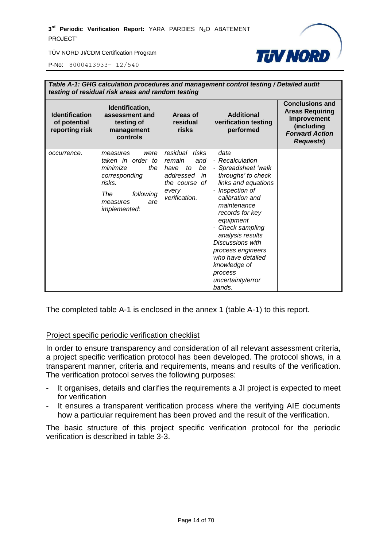

P-No: 8000413933– 12/540

| Table A-1: GHG calculation procedures and management control testing / Detailed audit<br>testing of residual risk areas and random testing |                                                                                                                                            |                                                                                                                   |                                                                                                                                                                                                                                                                                                                                                            |                                                                                                                            |  |  |
|--------------------------------------------------------------------------------------------------------------------------------------------|--------------------------------------------------------------------------------------------------------------------------------------------|-------------------------------------------------------------------------------------------------------------------|------------------------------------------------------------------------------------------------------------------------------------------------------------------------------------------------------------------------------------------------------------------------------------------------------------------------------------------------------------|----------------------------------------------------------------------------------------------------------------------------|--|--|
| <b>Identification</b><br>of potential<br>reporting risk                                                                                    | Identification,<br>assessment and<br>testing of<br>management<br>controls                                                                  | Areas of<br>residual<br>risks                                                                                     | <b>Additional</b><br>verification testing<br>performed                                                                                                                                                                                                                                                                                                     | <b>Conclusions and</b><br><b>Areas Requiring</b><br>Improvement<br>(including<br><b>Forward Action</b><br><b>Requests)</b> |  |  |
| occurrence.                                                                                                                                | were<br>measures<br>taken in order to<br>minimize<br>the<br>corresponding<br>risks.<br>The<br>following<br>are<br>measures<br>implemented: | residual risks<br>remain<br>and<br>be<br>have<br>to<br>addressed<br>in<br>the course of<br>every<br>verification. | data<br>- Recalculation<br>- Spreadsheet 'walk<br>throughs' to check<br>links and equations<br>- Inspection of<br>calibration and<br>maintenance<br>records for key<br>equipment<br>Check sampling<br>-<br>analysis results<br><b>Discussions with</b><br>process engineers<br>who have detailed<br>knowledge of<br>process<br>uncertainty/error<br>bands. |                                                                                                                            |  |  |

The completed table A-1 is enclosed in the annex 1 (table A-1) to this report.

#### Project specific periodic verification checklist

In order to ensure transparency and consideration of all relevant assessment criteria, a project specific verification protocol has been developed. The protocol shows, in a transparent manner, criteria and requirements, means and results of the verification. The verification protocol serves the following purposes:

- It organises, details and clarifies the requirements a JI project is expected to meet for verification
- It ensures a transparent verification process where the verifying AIE documents how a particular requirement has been proved and the result of the verification.

The basic structure of this project specific verification protocol for the periodic verification is described in table 3-3.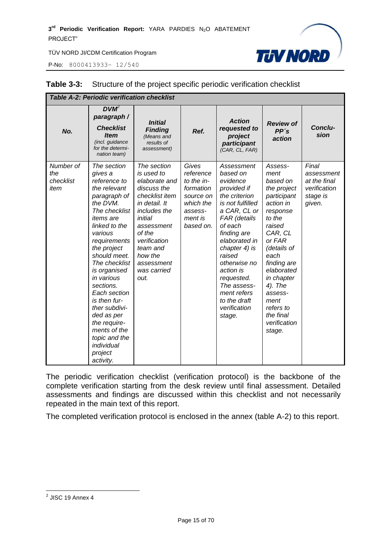P-No: 8000413933– 12/540



| <b>Table A-2: Periodic verification checklist</b> |                                                                                                                                                                                                                                                                                                                                                                                                                      |                                                                                                                                                                                                                             |                                                                                                            |                                                                                                                                                                                                                                                                                                                 |                                                                                                                                                                                                                                                                                 |                                                                           |
|---------------------------------------------------|----------------------------------------------------------------------------------------------------------------------------------------------------------------------------------------------------------------------------------------------------------------------------------------------------------------------------------------------------------------------------------------------------------------------|-----------------------------------------------------------------------------------------------------------------------------------------------------------------------------------------------------------------------------|------------------------------------------------------------------------------------------------------------|-----------------------------------------------------------------------------------------------------------------------------------------------------------------------------------------------------------------------------------------------------------------------------------------------------------------|---------------------------------------------------------------------------------------------------------------------------------------------------------------------------------------------------------------------------------------------------------------------------------|---------------------------------------------------------------------------|
| No.                                               | $DVM^2$<br>paragraph /<br><b>Checklist</b><br><b>Item</b><br>(incl. guidance<br>for the determi-<br>nation team)                                                                                                                                                                                                                                                                                                     | <b>Initial</b><br><b>Finding</b><br>(Means and<br>results of<br>assessment)                                                                                                                                                 | Ref.                                                                                                       | <b>Action</b><br>requested to<br>project<br>participant<br>(CAR, CL, FAR)                                                                                                                                                                                                                                       | <b>Review of</b><br>PP's<br>action                                                                                                                                                                                                                                              | Conclu-<br>sion                                                           |
| Number of<br>the<br>checklist<br>item             | The section<br>gives a<br>reference to<br>the relevant<br>paragraph of<br>the DVM.<br>The checklist<br><i>items</i> are<br>linked to the<br>various<br>requirements<br>the project<br>should meet.<br>The checklist<br>is organised<br>in various<br>sections.<br>Each section<br>is then fur-<br>ther subdivi-<br>ded as per<br>the require-<br>ments of the<br>topic and the<br>individual<br>project<br>activity. | The section<br>is used to<br>elaborate and<br>discuss the<br>checklist item<br>in detail. It<br>includes the<br>initial<br>assessment<br>of the<br>verification<br>team and<br>how the<br>assessment<br>was carried<br>out. | Gives<br>reference<br>to the in-<br>formation<br>source on<br>which the<br>assess-<br>ment is<br>based on. | Assessment<br>based on<br>evidence<br>provided if<br>the criterion<br>is not fulfilled<br>a CAR, CL or<br>FAR (details<br>of each<br>finding are<br>elaborated in<br>chapter 4) is<br>raised<br>otherwise no<br>action is<br>requested.<br>The assess-<br>ment refers<br>to the draft<br>verification<br>stage. | Assess-<br>ment<br>based on<br>the project<br>participant<br>action in<br>response<br>to the<br>raised<br>CAR, CL<br>or FAR<br>(details of<br>each<br>finding are<br>elaborated<br>in chapter<br>4). The<br>assess-<br>ment<br>refers to<br>the final<br>verification<br>stage. | Final<br>assessment<br>at the final<br>verification<br>stage is<br>given. |

#### **Table 3-3:** Structure of the project specific periodic verification checklist

The periodic verification checklist (verification protocol) is the backbone of the complete verification starting from the desk review until final assessment. Detailed assessments and findings are discussed within this checklist and not necessarily repeated in the main text of this report.

The completed verification protocol is enclosed in the annex (table A-2) to this report.

<sup>&</sup>lt;u>2</u><br>2 JISC 19 Annex 4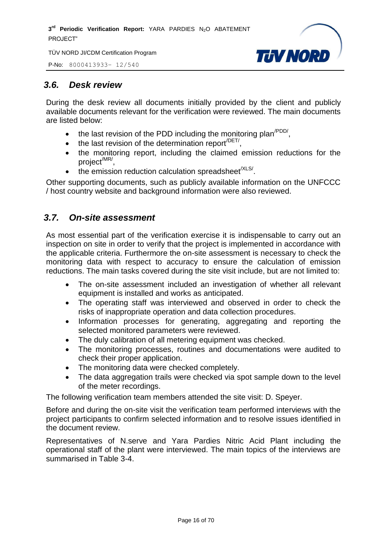P-No: 8000413933– 12/540



# <span id="page-15-0"></span>*3.6. Desk review*

During the desk review all documents initially provided by the client and publicly available documents relevant for the verification were reviewed. The main documents are listed below:

- $\bullet$  the last revision of the PDD including the monitoring plan<sup>/PDD/</sup>,
- $\bullet$  the last revision of the determination report<sup>/DET/</sup>,
- the monitoring report, including the claimed emission reductions for the project/MR/ ,
- $\bullet$  the emission reduction calculation spreadsheet<sup>/XLS/</sup>.

Other supporting documents, such as publicly available information on the UNFCCC / host country website and background information were also reviewed.

# <span id="page-15-1"></span>*3.7. On-site assessment*

As most essential part of the verification exercise it is indispensable to carry out an inspection on site in order to verify that the project is implemented in accordance with the applicable criteria. Furthermore the on-site assessment is necessary to check the monitoring data with respect to accuracy to ensure the calculation of emission reductions. The main tasks covered during the site visit include, but are not limited to:

- The on-site assessment included an investigation of whether all relevant equipment is installed and works as anticipated.
- The operating staff was interviewed and observed in order to check the risks of inappropriate operation and data collection procedures.
- Information processes for generating, aggregating and reporting the selected monitored parameters were reviewed.
- The duly calibration of all metering equipment was checked.
- The monitoring processes, routines and documentations were audited to check their proper application.
- The monitoring data were checked completely.
- The data aggregation trails were checked via spot sample down to the level of the meter recordings.

The following verification team members attended the site visit: D. Speyer.

Before and during the on-site visit the verification team performed interviews with the project participants to confirm selected information and to resolve issues identified in the document review.

Representatives of N.serve and Yara Pardies Nitric Acid Plant including the operational staff of the plant were interviewed. The main topics of the interviews are summarised in Table 3-4.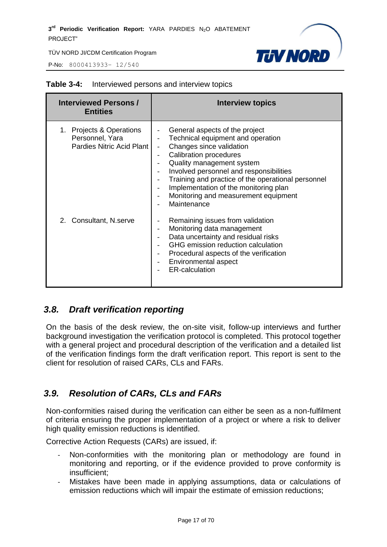P-No: 8000413933– 12/540



| <b>Interviewed Persons /</b><br><b>Entities</b>                                 | <b>Interview topics</b>                                                                                                                                                                                                                                                                                                                                                                                                |
|---------------------------------------------------------------------------------|------------------------------------------------------------------------------------------------------------------------------------------------------------------------------------------------------------------------------------------------------------------------------------------------------------------------------------------------------------------------------------------------------------------------|
| 1. Projects & Operations<br>Personnel, Yara<br><b>Pardies Nitric Acid Plant</b> | General aspects of the project<br>Technical equipment and operation<br>Changes since validation<br><b>Calibration procedures</b><br>$\overline{\phantom{a}}$<br>Quality management system<br>Involved personnel and responsibilities<br>Training and practice of the operational personnel<br>Implementation of the monitoring plan<br>Monitoring and measurement equipment<br>$\overline{\phantom{a}}$<br>Maintenance |
| 2. Consultant, N.serve                                                          | Remaining issues from validation<br>Monitoring data management<br>Data uncertainty and residual risks<br>GHG emission reduction calculation<br>Procedural aspects of the verification<br>$\overline{\phantom{a}}$<br>Environmental aspect<br><b>ER-calculation</b>                                                                                                                                                     |

#### **Table 3-4:** Interviewed persons and interview topics

# <span id="page-16-0"></span>*3.8. Draft verification reporting*

On the basis of the desk review, the on-site visit, follow-up interviews and further background investigation the verification protocol is completed. This protocol together with a general project and procedural description of the verification and a detailed list of the verification findings form the draft verification report. This report is sent to the client for resolution of raised CARs, CLs and FARs.

# <span id="page-16-1"></span>*3.9. Resolution of CARs, CLs and FARs*

Non-conformities raised during the verification can either be seen as a non-fulfilment of criteria ensuring the proper implementation of a project or where a risk to deliver high quality emission reductions is identified.

Corrective Action Requests (CARs) are issued, if:

- Non-conformities with the monitoring plan or methodology are found in monitoring and reporting, or if the evidence provided to prove conformity is insufficient;
- Mistakes have been made in applying assumptions, data or calculations of emission reductions which will impair the estimate of emission reductions;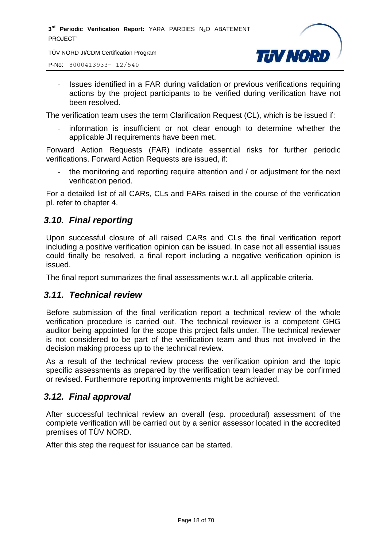TÜV NORD JI/CDM Certification Program

P-No: 8000413933– 12/540

- **TJV NORD**
- Issues identified in a FAR during validation or previous verifications requiring actions by the project participants to be verified during verification have not been resolved.

The verification team uses the term Clarification Request (CL), which is be issued if:

information is insufficient or not clear enough to determine whether the applicable JI requirements have been met.

Forward Action Requests (FAR) indicate essential risks for further periodic verifications. Forward Action Requests are issued, if:

the monitoring and reporting require attention and / or adjustment for the next verification period.

For a detailed list of all CARs, CLs and FARs raised in the course of the verification pl. refer to chapter 4.

# <span id="page-17-0"></span>*3.10. Final reporting*

Upon successful closure of all raised CARs and CLs the final verification report including a positive verification opinion can be issued. In case not all essential issues could finally be resolved, a final report including a negative verification opinion is issued.

The final report summarizes the final assessments w.r.t. all applicable criteria.

#### <span id="page-17-1"></span>*3.11. Technical review*

Before submission of the final verification report a technical review of the whole verification procedure is carried out. The technical reviewer is a competent GHG auditor being appointed for the scope this project falls under. The technical reviewer is not considered to be part of the verification team and thus not involved in the decision making process up to the technical review.

As a result of the technical review process the verification opinion and the topic specific assessments as prepared by the verification team leader may be confirmed or revised. Furthermore reporting improvements might be achieved.

# <span id="page-17-2"></span>*3.12. Final approval*

After successful technical review an overall (esp. procedural) assessment of the complete verification will be carried out by a senior assessor located in the accredited premises of TÜV NORD.

After this step the request for issuance can be started.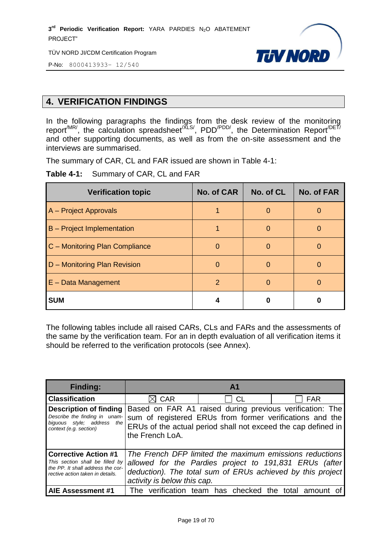TÜV NORD JI/CDM Certification Program



P-No: 8000413933– 12/540

# <span id="page-18-0"></span>**4. VERIFICATION FINDINGS**

In the following paragraphs the findings from the desk review of the monitoring report<sup>/MR/</sup>, the calculation spreadsheet<sup>/XLS/</sup>, PDD<sup>/PDD/</sup>, the Determination Report<sup>/DET/</sup> and other supporting documents, as well as from the on-site assessment and the interviews are summarised.

The summary of CAR, CL and FAR issued are shown in Table 4-1:

**Table 4-1:** Summary of CAR, CL and FAR

| <b>Verification topic</b>         | <b>No. of CAR</b> | No. of CL | <b>No. of FAR</b> |
|-----------------------------------|-------------------|-----------|-------------------|
| A – Project Approvals             |                   | $\Omega$  |                   |
| <b>B</b> – Project Implementation |                   | O         |                   |
| C - Monitoring Plan Compliance    | O                 |           |                   |
| D - Monitoring Plan Revision      | $\Omega$          | O         |                   |
| $E$ – Data Management             | 2                 | O         |                   |
| <b>SUM</b>                        |                   | 0         |                   |

The following tables include all raised CARs, CLs and FARs and the assessments of the same by the verification team. For an in depth evaluation of all verification items it should be referred to the verification protocols (see Annex).

| <b>Finding:</b>                                                                                                                         | A <sup>1</sup>                                                                                                                                                                                                 |
|-----------------------------------------------------------------------------------------------------------------------------------------|----------------------------------------------------------------------------------------------------------------------------------------------------------------------------------------------------------------|
| <b>Classification</b>                                                                                                                   | <b>CAR</b><br>CL<br><b>FAR</b>                                                                                                                                                                                 |
| <b>Description of finding</b><br>Describe the finding in unam-<br>biquous style; address<br>the<br>context (e.g. section)               | Based on FAR A1 raised during previous verification: The<br>sum of registered ERUs from former verifications and the<br>ERUs of the actual period shall not exceed the cap defined in<br>the French LoA.       |
| <b>Corrective Action #1</b><br>This section shall be filled by<br>the PP. It shall address the cor-<br>rective action taken in details. | The French DFP limited the maximum emissions reductions<br>allowed for the Pardies project to 191,831 ERUs (after<br>deduction). The total sum of ERUs achieved by this project<br>activity is below this cap. |
| AIE Assessment #1                                                                                                                       | The verification team has checked the total amount                                                                                                                                                             |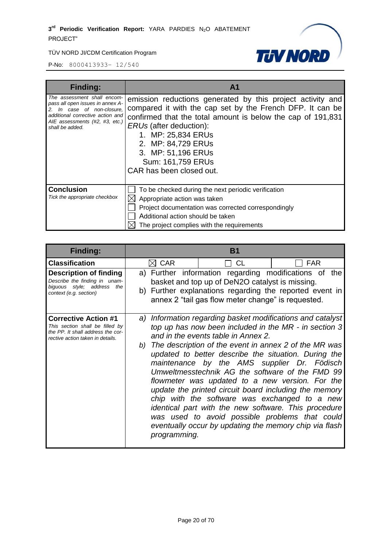

| <b>Finding:</b>                                                                                                                                                                        | A <sub>1</sub>                                                                                                                                                                                                                                                                                                                              |
|----------------------------------------------------------------------------------------------------------------------------------------------------------------------------------------|---------------------------------------------------------------------------------------------------------------------------------------------------------------------------------------------------------------------------------------------------------------------------------------------------------------------------------------------|
| The assessment shall encom-<br>pass all open issues in annex A-<br>2. In case of non-closure.<br>additional corrective action and<br>AIE assessments (#2, #3, etc.)<br>shall be added. | emission reductions generated by this project activity and<br>compared it with the cap set by the French DFP. It can be<br>confirmed that the total amount is below the cap of 191,831<br><i>ERUs</i> (after deduction):<br>1. MP: 25,834 ERUs<br>2. MP: 84,729 ERUs<br>3. MP: 51,196 ERUs<br>Sum: 161,759 ERUs<br>CAR has been closed out. |
| <b>Conclusion</b><br>Tick the appropriate checkbox                                                                                                                                     | To be checked during the next periodic verification<br>Appropriate action was taken<br>Project documentation was corrected correspondingly<br>Additional action should be taken<br>The project complies with the requirements                                                                                                               |

| <b>Finding:</b>                                                                                                                         |                 | <b>B</b> 1                                                                                                                                                                                                                                                                                                                                                                                                                                                                                                                                                                                                                                                                                                        |            |  |  |
|-----------------------------------------------------------------------------------------------------------------------------------------|-----------------|-------------------------------------------------------------------------------------------------------------------------------------------------------------------------------------------------------------------------------------------------------------------------------------------------------------------------------------------------------------------------------------------------------------------------------------------------------------------------------------------------------------------------------------------------------------------------------------------------------------------------------------------------------------------------------------------------------------------|------------|--|--|
| <b>Classification</b>                                                                                                                   | $\boxtimes$ CAR | CL                                                                                                                                                                                                                                                                                                                                                                                                                                                                                                                                                                                                                                                                                                                | <b>FAR</b> |  |  |
| <b>Description of finding</b><br>Describe the finding in unam-<br>biguous style; address<br>the<br>context (e.g. section)               |                 | a) Further information regarding modifications of the<br>basket and top up of DeN2O catalyst is missing.<br>b) Further explanations regarding the reported event in<br>annex 2 "tail gas flow meter change" is requested.                                                                                                                                                                                                                                                                                                                                                                                                                                                                                         |            |  |  |
| <b>Corrective Action #1</b><br>This section shall be filled by<br>the PP. It shall address the cor-<br>rective action taken in details. | programming.    | a) Information regarding basket modifications and catalyst<br>top up has now been included in the MR - in section 3<br>and in the events table in Annex 2.<br>b) The description of the event in annex 2 of the MR was<br>updated to better describe the situation. During the<br>maintenance by the AMS supplier Dr. Födisch<br>Umweltmesstechnik AG the software of the FMD 99<br>flowmeter was updated to a new version. For the<br>update the printed circuit board including the memory<br>chip with the software was exchanged to a new<br>identical part with the new software. This procedure<br>was used to avoid possible problems that could<br>eventually occur by updating the memory chip via flash |            |  |  |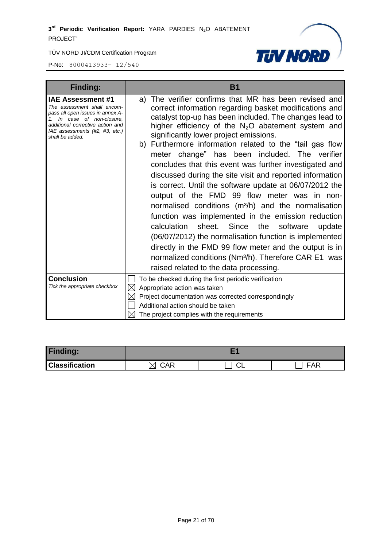

| <b>Finding:</b>                                                                                                                                                                                                    | <b>B1</b>                                                                                                                                                                                                                                                                                                                                                                                                                                                                                                                                                                                                                                                                                                                                                                                                                                                                                                                                                                                                                                             |  |
|--------------------------------------------------------------------------------------------------------------------------------------------------------------------------------------------------------------------|-------------------------------------------------------------------------------------------------------------------------------------------------------------------------------------------------------------------------------------------------------------------------------------------------------------------------------------------------------------------------------------------------------------------------------------------------------------------------------------------------------------------------------------------------------------------------------------------------------------------------------------------------------------------------------------------------------------------------------------------------------------------------------------------------------------------------------------------------------------------------------------------------------------------------------------------------------------------------------------------------------------------------------------------------------|--|
| <b>IAE Assessment #1</b><br>The assessment shall encom-<br>pass all open issues in annex A-<br>1. In case of non-closure,<br>additional corrective action and<br>IAE assessments (#2, #3, etc.)<br>shall be added. | The verifier confirms that MR has been revised and<br>a)<br>correct information regarding basket modifications and<br>catalyst top-up has been included. The changes lead to<br>higher efficiency of the $N_2O$ abatement system and<br>significantly lower project emissions.<br>b) Furthermore information related to the "tail gas flow<br>meter change" has been included. The verifier<br>concludes that this event was further investigated and<br>discussed during the site visit and reported information<br>is correct. Until the software update at 06/07/2012 the<br>output of the FMD 99 flow meter was in non-<br>normalised conditions (m <sup>3</sup> /h) and the normalisation<br>function was implemented in the emission reduction<br>Since<br>calculation<br>sheet.<br>the<br>software<br>update<br>(06/07/2012) the normalisation function is implemented<br>directly in the FMD 99 flow meter and the output is in<br>normalized conditions (Nm <sup>3</sup> /h). Therefore CAR E1 was<br>raised related to the data processing. |  |
| <b>Conclusion</b>                                                                                                                                                                                                  | To be checked during the first periodic verification                                                                                                                                                                                                                                                                                                                                                                                                                                                                                                                                                                                                                                                                                                                                                                                                                                                                                                                                                                                                  |  |
| Tick the appropriate checkbox                                                                                                                                                                                      | Appropriate action was taken<br>$\boxtimes$                                                                                                                                                                                                                                                                                                                                                                                                                                                                                                                                                                                                                                                                                                                                                                                                                                                                                                                                                                                                           |  |
|                                                                                                                                                                                                                    | Project documentation was corrected correspondingly                                                                                                                                                                                                                                                                                                                                                                                                                                                                                                                                                                                                                                                                                                                                                                                                                                                                                                                                                                                                   |  |
|                                                                                                                                                                                                                    | Additional action should be taken                                                                                                                                                                                                                                                                                                                                                                                                                                                                                                                                                                                                                                                                                                                                                                                                                                                                                                                                                                                                                     |  |
|                                                                                                                                                                                                                    | The project complies with the requirements                                                                                                                                                                                                                                                                                                                                                                                                                                                                                                                                                                                                                                                                                                                                                                                                                                                                                                                                                                                                            |  |

| <b>Finding:</b>       |                 |    |          |
|-----------------------|-----------------|----|----------|
| <b>Classification</b> | $\mathcal{C}AR$ | ◡∟ | ᆮᅀᆮ<br>- |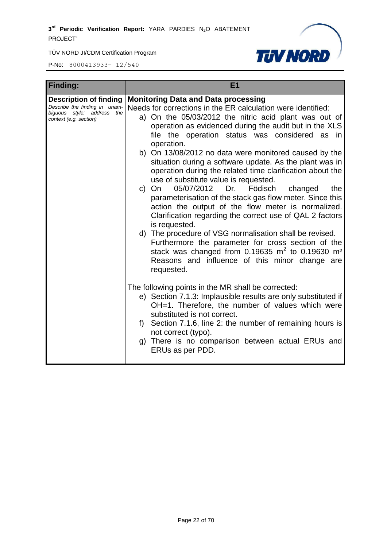

| <b>Finding:</b>                                                                                                 | E <sub>1</sub>                                                                                                                                                                                                                                                                                                                                                                                                                                                                                                                                                                                                                                                                                                                                                                                                                                                                                                                                                                                                                                           |
|-----------------------------------------------------------------------------------------------------------------|----------------------------------------------------------------------------------------------------------------------------------------------------------------------------------------------------------------------------------------------------------------------------------------------------------------------------------------------------------------------------------------------------------------------------------------------------------------------------------------------------------------------------------------------------------------------------------------------------------------------------------------------------------------------------------------------------------------------------------------------------------------------------------------------------------------------------------------------------------------------------------------------------------------------------------------------------------------------------------------------------------------------------------------------------------|
| Description of finding<br>Describe the finding in unam-<br>biguous style; address the<br>context (e.g. section) | <b>Monitoring Data and Data processing</b><br>Needs for corrections in the ER calculation were identified:<br>a) On the 05/03/2012 the nitric acid plant was out of<br>operation as evidenced during the audit but in the XLS<br>file the operation status was considered as in<br>operation.<br>b) On 13/08/2012 no data were monitored caused by the<br>situation during a software update. As the plant was in<br>operation during the related time clarification about the<br>use of substitute value is requested.<br>05/07/2012 Dr. Födisch<br>On<br>changed<br>the<br>$\mathsf{C}$<br>parameterisation of the stack gas flow meter. Since this<br>action the output of the flow meter is normalized.<br>Clarification regarding the correct use of QAL 2 factors<br>is requested.<br>d) The procedure of VSG normalisation shall be revised.<br>Furthermore the parameter for cross section of the<br>stack was changed from $0.19635$ m <sup>2</sup> to $0.19630$ m <sup>2</sup><br>Reasons and influence of this minor change are<br>requested. |
|                                                                                                                 | The following points in the MR shall be corrected:<br>e) Section 7.1.3: Implausible results are only substituted if<br>OH=1. Therefore, the number of values which were<br>substituted is not correct.<br>Section 7.1.6, line 2: the number of remaining hours is<br>f)<br>not correct (typo).<br>g) There is no comparison between actual ERUs and<br>ERUs as per PDD.                                                                                                                                                                                                                                                                                                                                                                                                                                                                                                                                                                                                                                                                                  |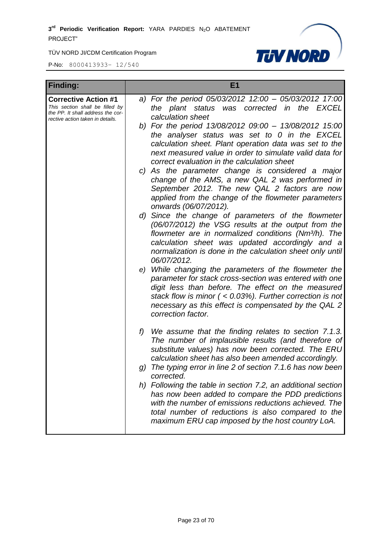

| <b>Finding:</b>                                                                                                                         | E1                                                                                                                                                                                                                                                                                                                 |
|-----------------------------------------------------------------------------------------------------------------------------------------|--------------------------------------------------------------------------------------------------------------------------------------------------------------------------------------------------------------------------------------------------------------------------------------------------------------------|
| <b>Corrective Action #1</b><br>This section shall be filled by<br>the PP. It shall address the cor-<br>rective action taken in details. | a) For the period 05/03/2012 12:00 - 05/03/2012 17:00<br>the plant status was corrected in the EXCEL<br>calculation sheet                                                                                                                                                                                          |
|                                                                                                                                         | b) For the period 13/08/2012 09:00 - 13/08/2012 15:00<br>the analyser status was set to $0$ in the EXCEL<br>calculation sheet. Plant operation data was set to the<br>next measured value in order to simulate valid data for<br>correct evaluation in the calculation sheet                                       |
|                                                                                                                                         | c) As the parameter change is considered a major<br>change of the AMS, a new QAL 2 was performed in<br>September 2012. The new QAL 2 factors are now<br>applied from the change of the flowmeter parameters<br>onwards (06/07/2012).                                                                               |
|                                                                                                                                         | d) Since the change of parameters of the flowmeter<br>(06/07/2012) the VSG results at the output from the<br>flowmeter are in normalized conditions (Nm <sup>3</sup> /h). The<br>calculation sheet was updated accordingly and a<br>normalization is done in the calculation sheet only until<br>06/07/2012.       |
|                                                                                                                                         | e) While changing the parameters of the flowmeter the<br>parameter for stack cross-section was entered with one<br>digit less than before. The effect on the measured<br>stack flow is minor $($ < 0.03%). Further correction is not<br>necessary as this effect is compensated by the QAL 2<br>correction factor. |
|                                                                                                                                         | f)<br>We assume that the finding relates to section 7.1.3.<br>The number of implausible results (and therefore of<br>substitute values) has now been corrected. The ERU<br>calculation sheet has also been amended accordingly.                                                                                    |
|                                                                                                                                         | The typing error in line 2 of section 7.1.6 has now been<br>g)<br>corrected.                                                                                                                                                                                                                                       |
|                                                                                                                                         | h) Following the table in section 7.2, an additional section<br>has now been added to compare the PDD predictions<br>with the number of emissions reductions achieved. The<br>total number of reductions is also compared to the<br>maximum ERU cap imposed by the host country LoA.                               |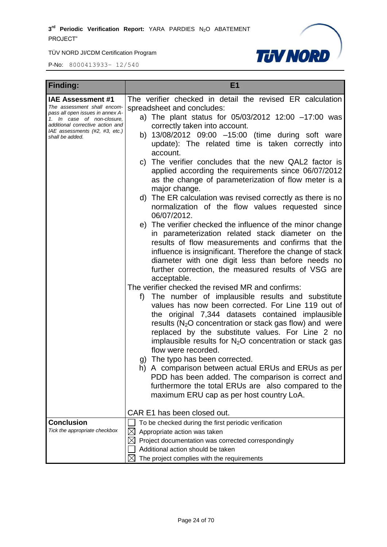

| <b>Finding:</b>                                                                                                                                                                                                    | E <sub>1</sub>                                                                                                                                                                                                                                                                                                                                                                                                                                                                                                                                                                                                                                                                                                                                                                                                                                                                                                                                                                                                                                                                                                                                                                                                                                                                                                                                                                                                                                                                                                                                                                                                                                                                                                        |
|--------------------------------------------------------------------------------------------------------------------------------------------------------------------------------------------------------------------|-----------------------------------------------------------------------------------------------------------------------------------------------------------------------------------------------------------------------------------------------------------------------------------------------------------------------------------------------------------------------------------------------------------------------------------------------------------------------------------------------------------------------------------------------------------------------------------------------------------------------------------------------------------------------------------------------------------------------------------------------------------------------------------------------------------------------------------------------------------------------------------------------------------------------------------------------------------------------------------------------------------------------------------------------------------------------------------------------------------------------------------------------------------------------------------------------------------------------------------------------------------------------------------------------------------------------------------------------------------------------------------------------------------------------------------------------------------------------------------------------------------------------------------------------------------------------------------------------------------------------------------------------------------------------------------------------------------------------|
| <b>IAE Assessment #1</b><br>The assessment shall encom-<br>pass all open issues in annex A-<br>1. In case of non-closure,<br>additional corrective action and<br>IAE assessments (#2, #3, etc.)<br>shall be added. | The verifier checked in detail the revised ER calculation<br>spreadsheet and concludes:<br>a) The plant status for $05/03/2012$ 12:00 -17:00 was<br>correctly taken into account.<br>b) 13/08/2012 09:00 -15:00 (time during soft ware<br>update): The related time is taken correctly into<br>account.<br>The verifier concludes that the new QAL2 factor is<br>C)<br>applied according the requirements since 06/07/2012<br>as the change of parameterization of flow meter is a<br>major change.<br>d) The ER calculation was revised correctly as there is no<br>normalization of the flow values requested since<br>06/07/2012.<br>e) The verifier checked the influence of the minor change<br>in parameterization related stack diameter on the<br>results of flow measurements and confirms that the<br>influence is insignificant. Therefore the change of stack<br>diameter with one digit less than before needs no<br>further correction, the measured results of VSG are<br>acceptable.<br>The verifier checked the revised MR and confirms:<br>The number of implausible results and substitute<br>f)<br>values has now been corrected. For Line 119 out of<br>the original 7,344 datasets contained implausible<br>results ( $N_2O$ concentration or stack gas flow) and were<br>replaced by the substitute values. For Line 2 no<br>implausible results for $N_2O$ concentration or stack gas<br>flow were recorded.<br>g) The typo has been corrected.<br>h) A comparison between actual ERUs and ERUs as per<br>PDD has been added. The comparison is correct and<br>furthermore the total ERUs are also compared to the<br>maximum ERU cap as per host country LoA.<br>CAR E1 has been closed out. |
| <b>Conclusion</b><br>Tick the appropriate checkbox                                                                                                                                                                 | To be checked during the first periodic verification<br>Appropriate action was taken<br>Project documentation was corrected correspondingly<br>$\boxtimes$                                                                                                                                                                                                                                                                                                                                                                                                                                                                                                                                                                                                                                                                                                                                                                                                                                                                                                                                                                                                                                                                                                                                                                                                                                                                                                                                                                                                                                                                                                                                                            |
|                                                                                                                                                                                                                    | Additional action should be taken<br>The project complies with the requirements                                                                                                                                                                                                                                                                                                                                                                                                                                                                                                                                                                                                                                                                                                                                                                                                                                                                                                                                                                                                                                                                                                                                                                                                                                                                                                                                                                                                                                                                                                                                                                                                                                       |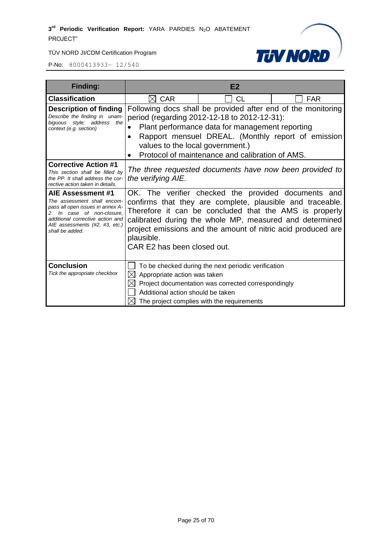



| <b>Finding:</b>                                                                                                                                                                                             |                                                                                                                                                                                                                                                                                                                                                    | E <sub>2</sub>                                                                                                                                           |                                                                                                                    |
|-------------------------------------------------------------------------------------------------------------------------------------------------------------------------------------------------------------|----------------------------------------------------------------------------------------------------------------------------------------------------------------------------------------------------------------------------------------------------------------------------------------------------------------------------------------------------|----------------------------------------------------------------------------------------------------------------------------------------------------------|--------------------------------------------------------------------------------------------------------------------|
| <b>Classification</b>                                                                                                                                                                                       | $\boxtimes$ CAR                                                                                                                                                                                                                                                                                                                                    | <b>CL</b>                                                                                                                                                | <b>FAR</b>                                                                                                         |
| <b>Description of finding</b><br>Describe the finding in unam-<br>biguous style; address<br>the<br>context (e.g. section)                                                                                   | values to the local government.)                                                                                                                                                                                                                                                                                                                   | period (regarding 2012-12-18 to 2012-12-31):<br>Plant performance data for management reporting<br>Protocol of maintenance and calibration of AMS.       | Following docs shall be provided after end of the monitoring<br>Rapport mensuel DREAL. (Monthly report of emission |
| <b>Corrective Action #1</b><br>This section shall be filled by<br>the PP. It shall address the cor-<br>rective action taken in details.                                                                     | the verifying AIE.                                                                                                                                                                                                                                                                                                                                 |                                                                                                                                                          | The three requested documents have now been provided to                                                            |
| AIE Assessment #1<br>The assessment shall encom-<br>pass all open issues in annex A-<br>2. In case of non-closure.<br>additional corrective action and<br>AIE assessments (#2, #3, etc.)<br>shall be added. | OK. The verifier checked the provided documents and<br>confirms that they are complete, plausible and traceable.<br>Therefore it can be concluded that the AMS is properly<br>calibrated during the whole MP, measured and determined<br>project emissions and the amount of nitric acid produced are<br>plausible.<br>CAR E2 has been closed out. |                                                                                                                                                          |                                                                                                                    |
| <b>Conclusion</b><br>Tick the appropriate checkbox                                                                                                                                                          | Appropriate action was taken<br>IХI<br>Additional action should be taken                                                                                                                                                                                                                                                                           | To be checked during the next periodic verification<br>Project documentation was corrected correspondingly<br>The project complies with the requirements |                                                                                                                    |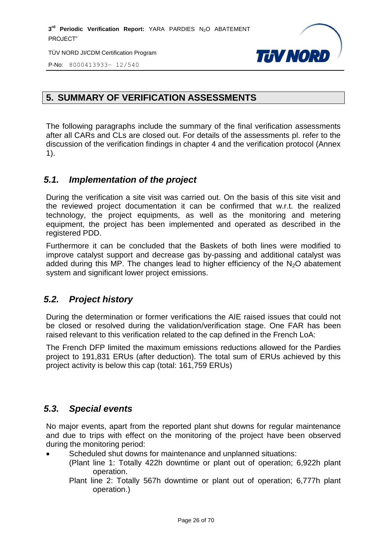

P-No: 8000413933– 12/540

# <span id="page-25-0"></span>**5. SUMMARY OF VERIFICATION ASSESSMENTS**

The following paragraphs include the summary of the final verification assessments after all CARs and CLs are closed out. For details of the assessments pl. refer to the discussion of the verification findings in chapter 4 and the verification protocol (Annex 1).

# <span id="page-25-1"></span>*5.1. Implementation of the project*

During the verification a site visit was carried out. On the basis of this site visit and the reviewed project documentation it can be confirmed that w.r.t. the realized technology, the project equipments, as well as the monitoring and metering equipment, the project has been implemented and operated as described in the registered PDD.

Furthermore it can be concluded that the Baskets of both lines were modified to improve catalyst support and decrease gas by-passing and additional catalyst was added during this MP. The changes lead to higher efficiency of the  $N<sub>2</sub>O$  abatement system and significant lower project emissions.

# <span id="page-25-2"></span>*5.2. Project history*

During the determination or former verifications the AIE raised issues that could not be closed or resolved during the validation/verification stage. One FAR has been raised relevant to this verification related to the cap defined in the French LoA:

The French DFP limited the maximum emissions reductions allowed for the Pardies project to 191,831 ERUs (after deduction). The total sum of ERUs achieved by this project activity is below this cap (total: 161,759 ERUs)

# <span id="page-25-3"></span>*5.3. Special events*

No major events, apart from the reported plant shut downs for regular maintenance and due to trips with effect on the monitoring of the project have been observed during the monitoring period:

- Scheduled shut downs for maintenance and unplanned situations:
	- (Plant line 1: Totally 422h downtime or plant out of operation; 6,922h plant operation.
		- Plant line 2: Totally 567h downtime or plant out of operation; 6,777h plant operation.)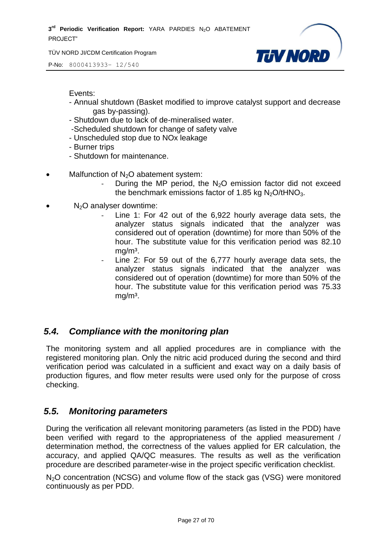P-No: 8000413933– 12/540



Events:

- Annual shutdown (Basket modified to improve catalyst support and decrease gas by-passing).
- Shutdown due to lack of de-mineralised water.
- -Scheduled shutdown for change of safety valve
- Unscheduled stop due to NOx leakage
- Burner trips
- Shutdown for maintenance.
- Malfunction of N<sub>2</sub>O abatement system:
	- During the MP period, the  $N<sub>2</sub>O$  emission factor did not exceed the benchmark emissions factor of 1.85 kg  $N<sub>2</sub>O/tHNO<sub>3</sub>$ .
- $N<sub>2</sub>O$  analyser downtime:
	- Line 1: For 42 out of the 6,922 hourly average data sets, the analyzer status signals indicated that the analyzer was considered out of operation (downtime) for more than 50% of the hour. The substitute value for this verification period was 82.10  $mg/m<sup>3</sup>$ .
	- Line 2: For 59 out of the 6,777 hourly average data sets, the analyzer status signals indicated that the analyzer was considered out of operation (downtime) for more than 50% of the hour. The substitute value for this verification period was 75.33  $mq/m<sup>3</sup>$ .

# <span id="page-26-0"></span>*5.4. Compliance with the monitoring plan*

The monitoring system and all applied procedures are in compliance with the registered monitoring plan. Only the nitric acid produced during the second and third verification period was calculated in a sufficient and exact way on a daily basis of production figures, and flow meter results were used only for the purpose of cross checking.

# <span id="page-26-1"></span>*5.5. Monitoring parameters*

During the verification all relevant monitoring parameters (as listed in the PDD) have been verified with regard to the appropriateness of the applied measurement / determination method, the correctness of the values applied for ER calculation, the accuracy, and applied QA/QC measures. The results as well as the verification procedure are described parameter-wise in the project specific verification checklist.

N<sub>2</sub>O concentration (NCSG) and volume flow of the stack gas (VSG) were monitored continuously as per PDD.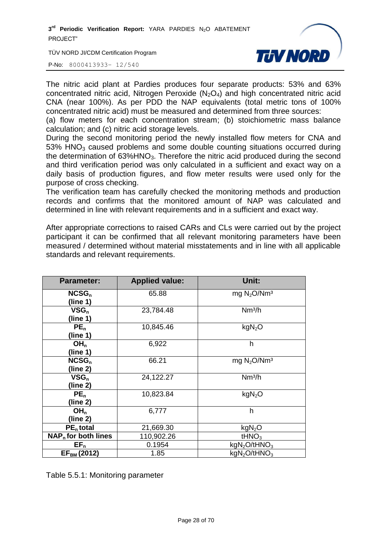TÜV NORD JI/CDM Certification Program



P-No: 8000413933– 12/540

The nitric acid plant at Pardies produces four separate products: 53% and 63% concentrated nitric acid, Nitrogen Peroxide  $(N_2O_4)$  and high concentrated nitric acid CNA (near 100%). As per PDD the NAP equivalents (total metric tons of 100% concentrated nitric acid) must be measured and determined from three sources:

(a) flow meters for each concentration stream; (b) stoichiometric mass balance calculation; and (c) nitric acid storage levels.

During the second monitoring period the newly installed flow meters for CNA and  $53\%$  HNO<sub>3</sub> caused problems and some double counting situations occurred during the determination of  $63\%$ HNO<sub>3</sub>. Therefore the nitric acid produced during the second and third verification period was only calculated in a sufficient and exact way on a daily basis of production figures, and flow meter results were used only for the purpose of cross checking.

The verification team has carefully checked the monitoring methods and production records and confirms that the monitored amount of NAP was calculated and determined in line with relevant requirements and in a sufficient and exact way.

After appropriate corrections to raised CARs and CLs were carried out by the project participant it can be confirmed that all relevant monitoring parameters have been measured / determined without material misstatements and in line with all applicable standards and relevant requirements.

| <b>Parameter:</b>     | <b>Applied value:</b> | Unit:                                |
|-----------------------|-----------------------|--------------------------------------|
| $NCSG_n$              | 65.88                 | mg $N_2O/Nm^3$                       |
| (line 1)              |                       |                                      |
| $VSG_n$               | 23,784.48             | Nm <sup>3</sup> /h                   |
| (line 1)              |                       |                                      |
| PE <sub>n</sub>       | 10,845.46             | kgN <sub>2</sub> O                   |
| (line 1)              |                       |                                      |
| OH <sub>n</sub>       | 6,922                 | h                                    |
| (line 1)              |                       |                                      |
| $NCSG_n$              | 66.21                 | mg $N_2O/Nm^3$                       |
| (line 2)              |                       |                                      |
| $VSG_n$               | 24,122.27             | Nm <sup>3</sup> /h                   |
| (line 2)              |                       |                                      |
| PE <sub>n</sub>       | 10,823.84             | kgN <sub>2</sub> O                   |
| (line 2)              |                       |                                      |
| OH <sub>n</sub>       | 6,777                 | h                                    |
| (line 2)              |                       |                                      |
| $PEn$ total           | 21,669.30             | kgN <sub>2</sub> O                   |
| $NAPn$ for both lines | 110,902.26            | tHNO <sub>3</sub>                    |
| $EF_n$                | 0.1954                | kgN <sub>2</sub> O/tHNO <sub>3</sub> |
| $EF_{BM}$ (2012)      | 1.85                  | kgN <sub>2</sub> O/tHNO <sub>3</sub> |

Table 5.5.1: Monitoring parameter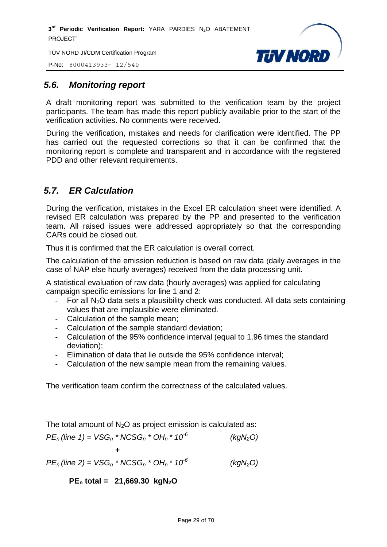TÜV NORD JI/CDM Certification Program

P-No: 8000413933– 12/540



# <span id="page-28-0"></span>*5.6. Monitoring report*

A draft monitoring report was submitted to the verification team by the project participants. The team has made this report publicly available prior to the start of the verification activities. No comments were received.

During the verification, mistakes and needs for clarification were identified. The PP has carried out the requested corrections so that it can be confirmed that the monitoring report is complete and transparent and in accordance with the registered PDD and other relevant requirements.

# <span id="page-28-1"></span>*5.7. ER Calculation*

During the verification, mistakes in the Excel ER calculation sheet were identified. A revised ER calculation was prepared by the PP and presented to the verification team. All raised issues were addressed appropriately so that the corresponding CARs could be closed out.

Thus it is confirmed that the ER calculation is overall correct.

The calculation of the emission reduction is based on raw data (daily averages in the case of NAP else hourly averages) received from the data processing unit.

A statistical evaluation of raw data (hourly averages) was applied for calculating campaign specific emissions for line 1 and 2:

- For all  $N<sub>2</sub>O$  data sets a plausibility check was conducted. All data sets containing values that are implausible were eliminated.
- Calculation of the sample mean;
- Calculation of the sample standard deviation;
- Calculation of the 95% confidence interval (equal to 1.96 times the standard deviation);
- Elimination of data that lie outside the 95% confidence interval;
- Calculation of the new sample mean from the remaining values.

The verification team confirm the correctness of the calculated values.

The total amount of  $N_2O$  as project emission is calculated as:

$$
PE_n
$$
 (line 1) = VSG<sub>n</sub> \* NCSG<sub>n</sub> \* OH<sub>n</sub> \* 10<sup>-6</sup> (kgN<sub>2</sub>O)  
+  
 $PE_n$  (line 2) = VSG<sub>n</sub> \* NCSG<sub>n</sub> \* OH<sub>n</sub> \* 10<sup>-6</sup> (kgN<sub>2</sub>O)

**PE<sup>n</sup> total = 21,669.30 kgN2O**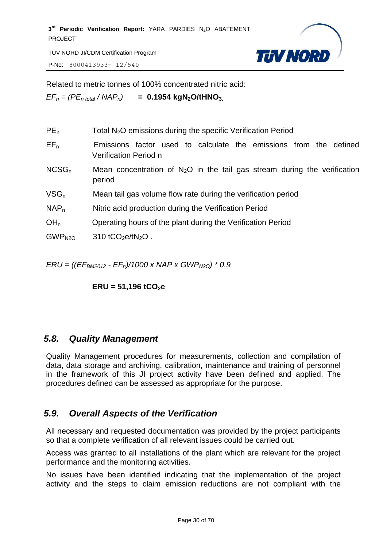TÜV NORD JI/CDM Certification Program

P-No: 8000413933– 12/540



Related to metric tonnes of 100% concentrated nitric acid:

 $EF_n = (PE_n_{total} / NAP_n)$  **= 0.1954 kgN<sub>2</sub>O/tHNO<sub>3</sub>**.

| PE <sub>n</sub>    | Total $N_2O$ emissions during the specific Verification Period                             |
|--------------------|--------------------------------------------------------------------------------------------|
| $EF_n$             | Emissions factor used to calculate the emissions from the defined<br>Verification Period n |
| $NCSG_n$           | Mean concentration of $N_2O$ in the tail gas stream during the verification<br>period      |
| $VSG_n$            | Mean tail gas volume flow rate during the verification period                              |
| NAP <sub>n</sub>   | Nitric acid production during the Verification Period                                      |
| OH <sub>n</sub>    | Operating hours of the plant during the Verification Period                                |
| GWP <sub>N2O</sub> | 310 tCO <sub>2</sub> e/tN <sub>2</sub> O.                                                  |
|                    |                                                                                            |

*ERU = ((EFBM2012 - EFn)/1000 x NAP x GWPN2O) \* 0.9* 

**ERU = 51,196 tCO2e** 

# <span id="page-29-0"></span>*5.8. Quality Management*

Quality Management procedures for measurements, collection and compilation of data, data storage and archiving, calibration, maintenance and training of personnel in the framework of this JI project activity have been defined and applied. The procedures defined can be assessed as appropriate for the purpose.

# <span id="page-29-1"></span>*5.9. Overall Aspects of the Verification*

All necessary and requested documentation was provided by the project participants so that a complete verification of all relevant issues could be carried out.

Access was granted to all installations of the plant which are relevant for the project performance and the monitoring activities.

No issues have been identified indicating that the implementation of the project activity and the steps to claim emission reductions are not compliant with the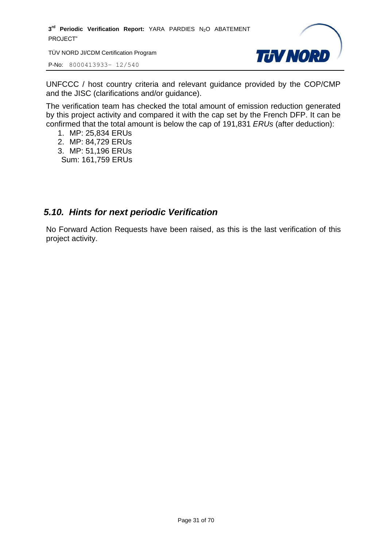TÜV NORD JI/CDM Certification Program

P-No: 8000413933– 12/540



UNFCCC / host country criteria and relevant guidance provided by the COP/CMP and the JISC (clarifications and/or guidance).

The verification team has checked the total amount of emission reduction generated by this project activity and compared it with the cap set by the French DFP. It can be confirmed that the total amount is below the cap of 191,831 *ERUs* (after deduction):

- 1. MP: 25,834 ERUs
- 2. MP: 84,729 ERUs
- 3. MP: 51,196 ERUs Sum: 161,759 ERUs

# <span id="page-30-0"></span>*5.10. Hints for next periodic Verification*

No Forward Action Requests have been raised, as this is the last verification of this project activity.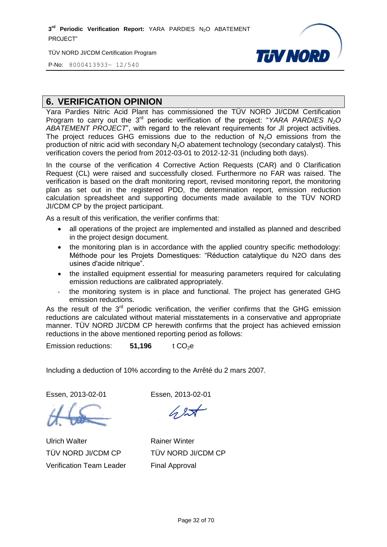TÜV NORD JI/CDM Certification Program



P-No: 8000413933– 12/540

#### <span id="page-31-0"></span>**6. VERIFICATION OPINION**

Yara Pardies Nitric Acid Plant has commissioned the TÜV NORD JI/CDM Certification Program to carry out the 3<sup>rd</sup> periodic verification of the project: "*YARA PARDIES* N<sub>2</sub>O *ABATEMENT PROJECT*", with regard to the relevant requirements for JI project activities. The project reduces GHG emissions due to the reduction of  $N<sub>2</sub>O$  emissions from the production of nitric acid with secondary  $N_2O$  abatement technology (secondary catalyst). This verification covers the period from 2012-03-01 to 2012-12-31 (including both days).

In the course of the verification 4 Corrective Action Requests (CAR) and 0 Clarification Request (CL) were raised and successfully closed. Furthermore no FAR was raised. The verification is based on the draft monitoring report, revised monitoring report, the monitoring plan as set out in the registered PDD, the determination report, emission reduction calculation spreadsheet and supporting documents made available to the TÜV NORD JI/CDM CP by the project participant.

As a result of this verification, the verifier confirms that:

- all operations of the project are implemented and installed as planned and described in the project design document.
- the monitoring plan is in accordance with the applied country specific methodology: Méthode pour les Projets Domestiques: "Réduction catalytique du N2O dans des usines d'acide nitrique".
- the installed equipment essential for measuring parameters required for calculating emission reductions are calibrated appropriately.
- the monitoring system is in place and functional. The project has generated GHG emission reductions.

As the result of the  $3<sup>rd</sup>$  periodic verification, the verifier confirms that the GHG emission reductions are calculated without material misstatements in a conservative and appropriate manner. TÜV NORD JI/CDM CP herewith confirms that the project has achieved emission reductions in the above mentioned reporting period as follows:

Emission reductions: **51.196** t CO<sub>2</sub>e

Including a deduction of 10% according to the Arrêté du 2 mars 2007.

Essen, 2013-02-01 Essen, 2013-02-01

Ulrich Walter TÜV NORD JI/CDM CP Verification Team Leader

Rainer Winter TÜV NORD JI/CDM CP Final Approval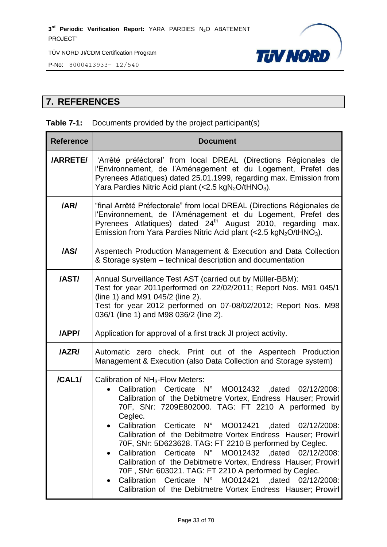P-No: 8000413933– 12/540



# <span id="page-32-0"></span>**7. REFERENCES**

#### **Table 7-1:** Documents provided by the project participant(s)

| <b>Reference</b> | <b>Document</b>                                                                                                                                                                                                                                                                                                                                                                                                                                                                                                                                                                                                                                                                                                                         |
|------------------|-----------------------------------------------------------------------------------------------------------------------------------------------------------------------------------------------------------------------------------------------------------------------------------------------------------------------------------------------------------------------------------------------------------------------------------------------------------------------------------------------------------------------------------------------------------------------------------------------------------------------------------------------------------------------------------------------------------------------------------------|
| <b>/ARRETE/</b>  | 'Arrêté préféctoral' from local DREAL (Directions Régionales de<br>l'Environnement, de l'Aménagement et du Logement, Prefet des<br>Pyrenees Atlatiques) dated 25.01.1999, regarding max. Emission from<br>Yara Pardies Nitric Acid plant (<2.5 kgN <sub>2</sub> O/tHNO <sub>3</sub> ).                                                                                                                                                                                                                                                                                                                                                                                                                                                  |
| /AR/             | "final Arrêté Préfectorale" from local DREAL (Directions Régionales de<br>l'Environnement, de l'Aménagement et du Logement, Prefet des<br>Pyrenees Atlatiques) dated 24 <sup>th</sup> August 2010, regarding max.<br>Emission from Yara Pardies Nitric Acid plant $\left\langle \langle 2.5 \text{ kgN}_2 \text{O}/t \text{HNO}_3 \right\rangle$ .                                                                                                                                                                                                                                                                                                                                                                                      |
| /AS/             | Aspentech Production Management & Execution and Data Collection<br>& Storage system - technical description and documentation                                                                                                                                                                                                                                                                                                                                                                                                                                                                                                                                                                                                           |
| /AST/            | Annual Surveillance Test AST (carried out by Müller-BBM):<br>Test for year 2011 performed on 22/02/2011; Report Nos. M91 045/1<br>(line 1) and M91 045/2 (line 2).<br>Test for year 2012 performed on 07-08/02/2012; Report Nos. M98<br>036/1 (line 1) and M98 036/2 (line 2).                                                                                                                                                                                                                                                                                                                                                                                                                                                          |
| /APP/            | Application for approval of a first track JI project activity.                                                                                                                                                                                                                                                                                                                                                                                                                                                                                                                                                                                                                                                                          |
| /AZR/            | Automatic zero check. Print out of the Aspentech Production<br>Management & Execution (also Data Collection and Storage system)                                                                                                                                                                                                                                                                                                                                                                                                                                                                                                                                                                                                         |
| /CAL1/           | Calibration of NH <sub>3</sub> -Flow Meters:<br>Calibration Certicate N° MO012432 ,dated 02/12/2008:<br>Calibration of the Debitmetre Vortex, Endress Hauser; Prowirl<br>70F, SNr: 7209E802000. TAG: FT 2210 A performed by<br>Ceglec.<br>Calibration Certicate N° MO012421 ,dated 02/12/2008:<br>Calibration of the Debitmetre Vortex Endress Hauser; Prowirl<br>70F, SNr: 5D623628. TAG: FT 2210 B performed by Ceglec.<br>Calibration Certicate N° MO012432 ,dated 02/12/2008:<br>Calibration of the Debitmetre Vortex, Endress Hauser; Prowirl<br>70F, SNr: 603021. TAG: FT 2210 A performed by Ceglec.<br>Calibration<br>Certicate N° MO012421 , dated 02/12/2008:<br>Calibration of the Debitmetre Vortex Endress Hauser; Prowirl |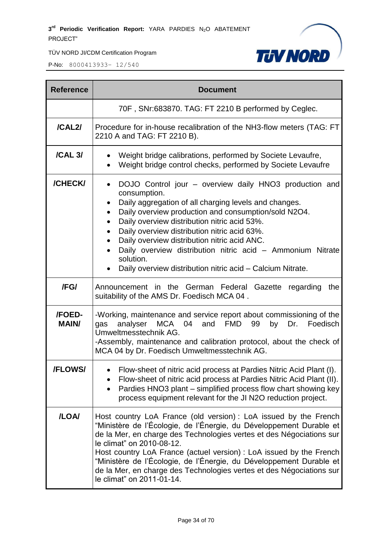

| <b>Reference</b>       | <b>Document</b>                                                                                                                                                                                                                                                                                                                                                                                                                                                                                                                                        |  |
|------------------------|--------------------------------------------------------------------------------------------------------------------------------------------------------------------------------------------------------------------------------------------------------------------------------------------------------------------------------------------------------------------------------------------------------------------------------------------------------------------------------------------------------------------------------------------------------|--|
|                        | 70F, SNr:683870. TAG: FT 2210 B performed by Ceglec.                                                                                                                                                                                                                                                                                                                                                                                                                                                                                                   |  |
| /CAL2/                 | Procedure for in-house recalibration of the NH3-flow meters (TAG: FT<br>2210 A and TAG: FT 2210 B).                                                                                                                                                                                                                                                                                                                                                                                                                                                    |  |
| /CAL 3/                | Weight bridge calibrations, performed by Societe Levaufre,<br>Weight bridge control checks, performed by Societe Levaufre<br>$\bullet$                                                                                                                                                                                                                                                                                                                                                                                                                 |  |
| /CHECK/                | DOJO Control jour - overview daily HNO3 production and<br>$\bullet$<br>consumption.<br>Daily aggregation of all charging levels and changes.<br>$\bullet$<br>Daily overview production and consumption/sold N2O4.<br>٠<br>Daily overview distribution nitric acid 53%.<br>$\bullet$<br>Daily overview distribution nitric acid 63%.<br>$\bullet$<br>Daily overview distribution nitric acid ANC.<br>Daily overview distribution nitric acid - Ammonium Nitrate<br>solution.<br>Daily overview distribution nitric acid - Calcium Nitrate.<br>$\bullet$ |  |
| /FG/                   | Announcement in the German Federal Gazette regarding<br>the<br>suitability of the AMS Dr. Foedisch MCA 04.                                                                                                                                                                                                                                                                                                                                                                                                                                             |  |
| /FOED-<br><b>MAIN/</b> | -Working, maintenance and service report about commissioning of the<br>analyser MCA<br>and FMD 99<br>Foedisch<br>04<br>by<br>Dr.<br>gas<br>Umweltmesstechnik AG.<br>-Assembly, maintenance and calibration protocol, about the check of<br>MCA 04 by Dr. Foedisch Umweltmesstechnik AG.                                                                                                                                                                                                                                                                |  |
| <b>/FLOWS/</b>         | Flow-sheet of nitric acid process at Pardies Nitric Acid Plant (I).<br>Flow-sheet of nitric acid process at Pardies Nitric Acid Plant (II).<br>Pardies HNO3 plant – simplified process flow chart showing key<br>process equipment relevant for the JI N2O reduction project.                                                                                                                                                                                                                                                                          |  |
| /LOA/                  | Host country LoA France (old version): LoA issued by the French<br>"Ministère de l'Écologie, de l'Énergie, du Développement Durable et<br>de la Mer, en charge des Technologies vertes et des Négociations sur<br>le climat" on 2010-08-12.<br>Host country LoA France (actuel version) : LoA issued by the French<br>"Ministère de l'Écologie, de l'Énergie, du Développement Durable et<br>de la Mer, en charge des Technologies vertes et des Négociations sur<br>le climat" on 2011-01-14.                                                         |  |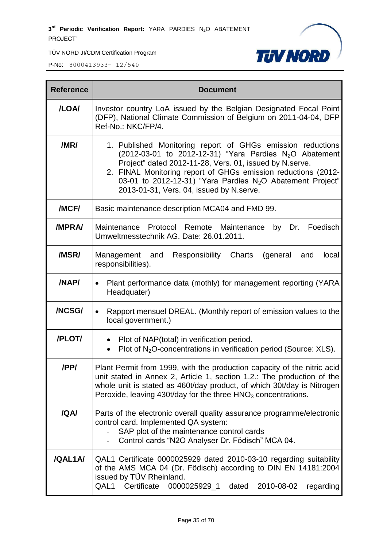TÜV NORD JI/CDM Certification Program



| <b>Reference</b> | <b>Document</b>                                                                                                                                                                                                                                                                                                                                                                        |
|------------------|----------------------------------------------------------------------------------------------------------------------------------------------------------------------------------------------------------------------------------------------------------------------------------------------------------------------------------------------------------------------------------------|
| /LOA/            | Investor country LoA issued by the Belgian Designated Focal Point<br>(DFP), National Climate Commission of Belgium on 2011-04-04, DFP<br>Ref-No.: NKC/FP/4.                                                                                                                                                                                                                            |
| /MR/             | 1. Published Monitoring report of GHGs emission reductions<br>$(2012-03-01)$ to 2012-12-31) "Yara Pardies N <sub>2</sub> O Abatement<br>Project" dated 2012-11-28, Vers. 01, issued by N.serve.<br>2. FINAL Monitoring report of GHGs emission reductions (2012-<br>03-01 to 2012-12-31) "Yara Pardies N <sub>2</sub> O Abatement Project"<br>2013-01-31, Vers. 04, issued by N.serve. |
| /MCF/            | Basic maintenance description MCA04 and FMD 99.                                                                                                                                                                                                                                                                                                                                        |
| <b>/MPRA/</b>    | Maintenance Protocol Remote Maintenance<br>Foedisch<br>by Dr.<br>Umweltmesstechnik AG. Date: 26.01.2011.                                                                                                                                                                                                                                                                               |
| /MSR/            | Charts<br>Management and<br>Responsibility<br>(general<br>and<br>local<br>responsibilities).                                                                                                                                                                                                                                                                                           |
| /NAP/            | Plant performance data (mothly) for management reporting (YARA<br>$\bullet$<br>Headquater)                                                                                                                                                                                                                                                                                             |
| /NCSG/           | Rapport mensuel DREAL. (Monthly report of emission values to the<br>$\bullet$<br>local government.)                                                                                                                                                                                                                                                                                    |
| /PLOT/           | Plot of NAP(total) in verification period.<br>$\bullet$<br>Plot of N <sub>2</sub> O-concentrations in verification period (Source: XLS).                                                                                                                                                                                                                                               |
| /PP/             | Plant Permit from 1999, with the production capacity of the nitric acid<br>unit stated in Annex 2, Article 1, section 1.2.: The production of the<br>whole unit is stated as 460t/day product, of which 30t/day is Nitrogen<br>Peroxide, leaving 430t/day for the three $HNO3$ concentrations.                                                                                         |
| /QA/             | Parts of the electronic overall quality assurance programme/electronic<br>control card. Implemented QA system:<br>SAP plot of the maintenance control cards<br>Control cards "N2O Analyser Dr. Födisch" MCA 04.                                                                                                                                                                        |
| /QAL1A/          | QAL1 Certificate 0000025929 dated 2010-03-10 regarding suitability<br>of the AMS MCA 04 (Dr. Födisch) according to DIN EN 14181:2004<br>issued by TÜV Rheinland.<br>QAL1 Certificate<br>0000025929_1<br>dated<br>2010-08-02<br>regarding                                                                                                                                               |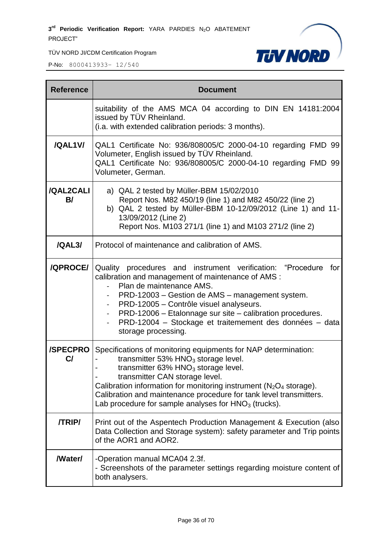TÜV NORD JI/CDM Certification Program

P-No: 8000413933– 12/540

 $\overline{\phantom{0}}$ 

 $\blacksquare$ 



| <b>Reference</b>      | <b>Document</b>                                                                                                                                                                                                                                                                                                                                                                                           |
|-----------------------|-----------------------------------------------------------------------------------------------------------------------------------------------------------------------------------------------------------------------------------------------------------------------------------------------------------------------------------------------------------------------------------------------------------|
|                       | suitability of the AMS MCA 04 according to DIN EN 14181:2004<br>issued by TÜV Rheinland.<br>(i.a. with extended calibration periods: 3 months).                                                                                                                                                                                                                                                           |
| /QAL1V/               | QAL1 Certificate No: 936/808005/C 2000-04-10 regarding FMD 99<br>Volumeter, English issued by TÜV Rheinland.<br>QAL1 Certificate No: 936/808005/C 2000-04-10 regarding FMD 99<br>Volumeter, German.                                                                                                                                                                                                       |
| /QAL2CALI<br>B/       | a) QAL 2 tested by Müller-BBM 15/02/2010<br>Report Nos. M82 450/19 (line 1) and M82 450/22 (line 2)<br>b) QAL 2 tested by Müller-BBM 10-12/09/2012 (Line 1) and 11-<br>13/09/2012 (Line 2)<br>Report Nos. M103 271/1 (line 1) and M103 271/2 (line 2)                                                                                                                                                     |
| /QAL3/                | Protocol of maintenance and calibration of AMS.                                                                                                                                                                                                                                                                                                                                                           |
| <b>/QPROCE/</b>       | Quality procedures and instrument verification: "Procedure<br>for<br>calibration and management of maintenance of AMS :<br>Plan de maintenance AMS.<br>PRD-12003 – Gestion de AMS – management system.<br>PRD-12005 - Contrôle visuel analyseurs.<br>PRD-12006 - Etalonnage sur site - calibration procedures.<br>PRD-12004 - Stockage et traitemement des données - data<br>storage processing.          |
| <b>/SPECPRO</b><br>C/ | Specifications of monitoring equipments for NAP determination:<br>transmitter 53% $HNO3$ storage level.<br>transmitter $63\%$ HNO <sub>3</sub> storage level.<br>transmitter CAN storage level.<br>Calibration information for monitoring instrument ( $N_2O_4$ storage).<br>Calibration and maintenance procedure for tank level transmitters.<br>Lab procedure for sample analyses for $HNO3$ (trucks). |
| <b>/TRIP/</b>         | Print out of the Aspentech Production Management & Execution (also<br>Data Collection and Storage system): safety parameter and Trip points<br>of the AOR1 and AOR2.                                                                                                                                                                                                                                      |
| /Water/               | -Operation manual MCA04 2.3f.<br>- Screenshots of the parameter settings regarding moisture content of<br>both analysers.                                                                                                                                                                                                                                                                                 |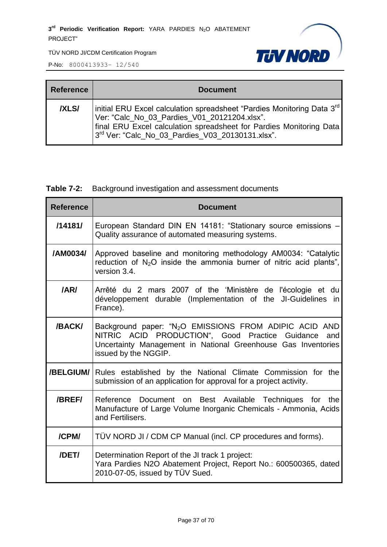

P-No: 8000413933– 12/540

 $\blacksquare$ 

| <b>Reference</b> | <b>Document</b>                                                                                                                                                                                                                                               |
|------------------|---------------------------------------------------------------------------------------------------------------------------------------------------------------------------------------------------------------------------------------------------------------|
| <b>IXLSI</b>     | initial ERU Excel calculation spreadsheet "Pardies Monitoring Data 3 <sup>rd</sup><br>Ver: "Calc_No_03_Pardies_V01_20121204.xlsx".<br>final ERU Excel calculation spreadsheet for Pardies Monitoring Data<br>3rd Ver: "Calc_No_03_Pardies_V03_20130131.xlsx". |

#### **Table 7-2:** Background investigation and assessment documents

| <b>Reference</b> | <b>Document</b>                                                                                                                                                                                                       |
|------------------|-----------------------------------------------------------------------------------------------------------------------------------------------------------------------------------------------------------------------|
| /14181/          | European Standard DIN EN 14181: "Stationary source emissions -<br>Quality assurance of automated measuring systems.                                                                                                   |
| /AM0034/         | Approved baseline and monitoring methodology AM0034: "Catalytic<br>reduction of $N_2O$ inside the ammonia burner of nitric acid plants",<br>version 3.4.                                                              |
| /AR/             | Arrêté du 2 mars 2007 of the 'Ministère de l'écologie et du<br>développement durable (Implementation of the JI-Guidelines<br>in<br>France).                                                                           |
| /BACK/           | Background paper: "N <sub>2</sub> O EMISSIONS FROM ADIPIC ACID AND<br>NITRIC ACID PRODUCTION", Good Practice Guidance<br>and<br>Uncertainty Management in National Greenhouse Gas Inventories<br>issued by the NGGIP. |
| /BELGIUM/        | Rules established by the National Climate Commission for the<br>submission of an application for approval for a project activity.                                                                                     |
| /BREF/           | Reference Document on Best Available Techniques for the<br>Manufacture of Large Volume Inorganic Chemicals - Ammonia, Acids<br>and Fertilisers.                                                                       |
| /CPM/            | TÜV NORD JI / CDM CP Manual (incl. CP procedures and forms).                                                                                                                                                          |
| /DET/            | Determination Report of the JI track 1 project:<br>Yara Pardies N2O Abatement Project, Report No.: 600500365, dated<br>2010-07-05, issued by TÜV Sued.                                                                |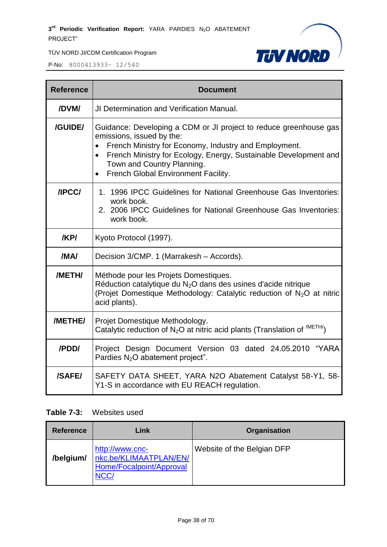P-No: 8000413933– 12/540



| <b>Reference</b> | <b>Document</b>                                                                                                                                                                                                                                                                                                      |  |  |  |  |  |
|------------------|----------------------------------------------------------------------------------------------------------------------------------------------------------------------------------------------------------------------------------------------------------------------------------------------------------------------|--|--|--|--|--|
| /DVM/            | JI Determination and Verification Manual.                                                                                                                                                                                                                                                                            |  |  |  |  |  |
| /GUIDE/          | Guidance: Developing a CDM or JI project to reduce greenhouse gas<br>emissions, issued by the:<br>French Ministry for Economy, Industry and Employment.<br>French Ministry for Ecology, Energy, Sustainable Development and<br>$\bullet$<br>Town and Country Planning.<br><b>French Global Environment Facility.</b> |  |  |  |  |  |
| /IPCC/           | 1. 1996 IPCC Guidelines for National Greenhouse Gas Inventories:<br>work book.<br>2. 2006 IPCC Guidelines for National Greenhouse Gas Inventories:<br>work book.                                                                                                                                                     |  |  |  |  |  |
| /KP/             | Kyoto Protocol (1997).                                                                                                                                                                                                                                                                                               |  |  |  |  |  |
| /MA/             | Decision 3/CMP. 1 (Marrakesh - Accords).                                                                                                                                                                                                                                                                             |  |  |  |  |  |
| /METH/           | Méthode pour les Projets Domestiques.<br>Réduction catalytique du N <sub>2</sub> O dans des usines d'acide nitrique<br>(Projet Domestique Methodology: Catalytic reduction of N <sub>2</sub> O at nitric<br>acid plants).                                                                                            |  |  |  |  |  |
| /METHE/          | Projet Domestique Methodology.<br>Catalytic reduction of $N_2O$ at nitric acid plants (Translation of $^{/METH/}$ )                                                                                                                                                                                                  |  |  |  |  |  |
| /PDD/            | Project Design Document Version 03 dated 24.05.2010 "YARA<br>Pardies $N_2O$ abatement project".                                                                                                                                                                                                                      |  |  |  |  |  |
| /SAFE/           | SAFETY DATA SHEET, YARA N2O Abatement Catalyst 58-Y1, 58-<br>Y1-S in accordance with EU REACH regulation.                                                                                                                                                                                                            |  |  |  |  |  |

#### **Table 7-3:** Websites used

| <b>Reference</b> | Link                                                                                 | <b>Organisation</b>        |
|------------------|--------------------------------------------------------------------------------------|----------------------------|
| /belgium/        | http://www.cnc-<br>nkc.be/KLIMAATPLAN/EN/<br>Home/Focalpoint/Approval<br><b>NCC/</b> | Website of the Belgian DFP |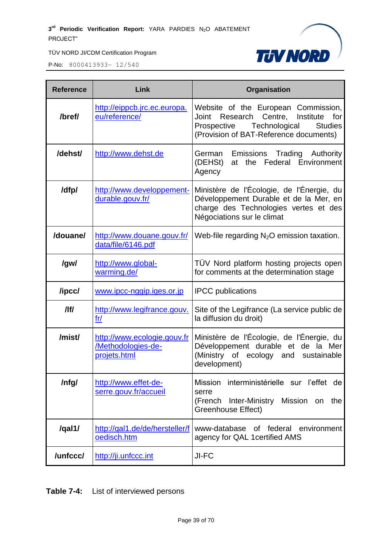

P-No: 8000413933– 12/540

| <b>Reference</b> | Link                                                              | Organisation                                                                                                                                                                     |  |  |
|------------------|-------------------------------------------------------------------|----------------------------------------------------------------------------------------------------------------------------------------------------------------------------------|--|--|
| /bref/           | http://eippcb.jrc.ec.europa.<br>eu/reference/                     | Website of the European Commission,<br>Research Centre,<br>Institute<br>for<br>Joint<br>Technological<br>Prospective<br><b>Studies</b><br>(Provision of BAT-Reference documents) |  |  |
| /dehst/          | http://www.dehst.de                                               | Emissions Trading Authority<br>German<br>at the Federal Environment<br>(DEHSt)<br>Agency                                                                                         |  |  |
| /dfp/            | http://www.developpement-<br>durable.gouv.fr/                     | Ministère de l'Écologie, de l'Énergie, du<br>Développement Durable et de la Mer, en<br>charge des Technologies vertes et des<br>Négociations sur le climat                       |  |  |
| /douane/         | http://www.douane.gouv.fr/<br>data/file/6146.pdf                  | Web-file regarding $N2O$ emission taxation.                                                                                                                                      |  |  |
| /gw/             | http://www.global-<br>warming.de/                                 | TÜV Nord platform hosting projects open<br>for comments at the determination stage                                                                                               |  |  |
| /ipcc/           | www.ipcc-nggip.iges.or.jp                                         | <b>IPCC</b> publications                                                                                                                                                         |  |  |
| /lf/             | http://www.legifrance.gouv.<br>fr/                                | Site of the Legifrance (La service public de<br>la diffusion du droit)                                                                                                           |  |  |
| /mist/           | http://www.ecologie.gouv.fr<br>/Methodologies-de-<br>projets.html | Ministère de l'Écologie, de l'Énergie, du<br>Développement durable et de la Mer<br>(Ministry of ecology and sustainable<br>development)                                          |  |  |
| /nfg/            | http://www.effet-de-<br>serre.gouv.fr/accueil                     | Mission interministérielle sur l'effet de<br>serre<br>(French<br>Mission<br>Inter-Ministry<br>the<br>on<br><b>Greenhouse Effect)</b>                                             |  |  |
| /qal1/           | http://qal1.de/de/hersteller/f<br>oedisch.htm                     | www-database of federal environment<br>agency for QAL 1 certified AMS                                                                                                            |  |  |
| /unfccc/         | http://ji.unfccc.int                                              | JI-FC                                                                                                                                                                            |  |  |

**Table 7-4:** List of interviewed persons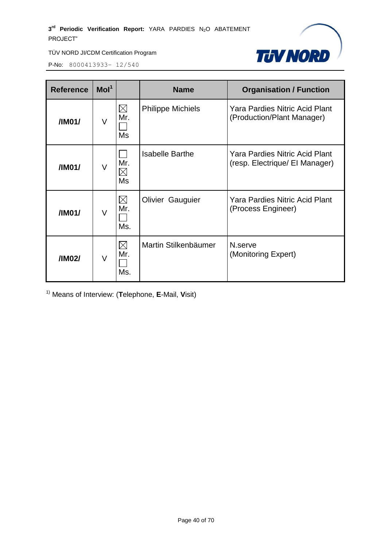

P-No: 8000413933– 12/540

| Mol <sup>1</sup><br><b>Reference</b> |        |                           | <b>Name</b>              | <b>Organisation / Function</b>                                          |  |  |
|--------------------------------------|--------|---------------------------|--------------------------|-------------------------------------------------------------------------|--|--|
| /IM01/                               | V      | $\boxtimes$<br>Mr.<br>Ms  | <b>Philippe Michiels</b> | <b>Yara Pardies Nitric Acid Plant</b><br>(Production/Plant Manager)     |  |  |
| /IM01/                               | V      | Mr.<br>$\boxtimes$<br>Ms  | <b>Isabelle Barthe</b>   | <b>Yara Pardies Nitric Acid Plant</b><br>(resp. Electrique/ El Manager) |  |  |
| /IM01/                               | $\vee$ | $\boxtimes$<br>Mr.<br>Ms. | <b>Olivier Gauguier</b>  | <b>Yara Pardies Nitric Acid Plant</b><br>(Process Engineer)             |  |  |
| /IM02/                               | V      | $\boxtimes$<br>Mr.<br>Ms. | Martin Stilkenbäumer     | N.serve<br>(Monitoring Expert)                                          |  |  |

1) Means of Interview: (**T**elephone, **E**-Mail, **V**isit)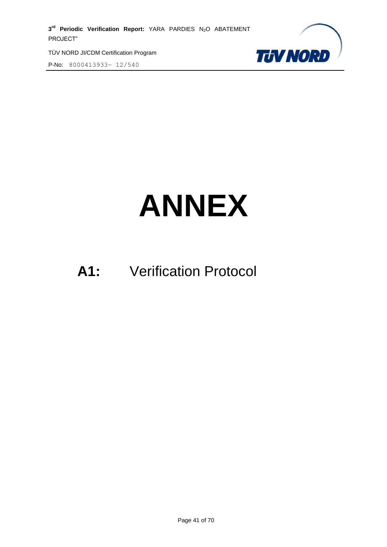TÜV NORD JI/CDM Certification Program P-No: 8000413933– 12/540



# **ANNEX**

# **A1:** Verification Protocol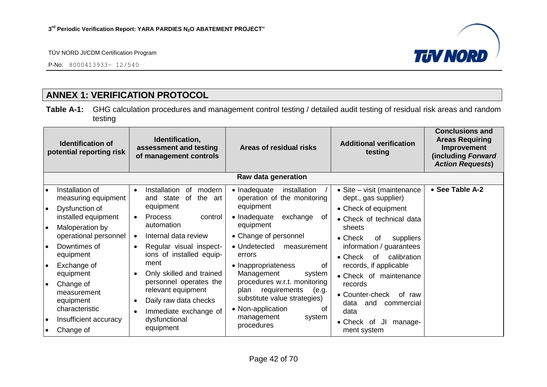P-No: 8000413933– 12/540



# **ANNEX 1: VERIFICATION PROTOCOL**

**Table A-1:** GHG calculation procedures and management control testing / detailed audit testing of residual risk areas and random testing

<span id="page-41-0"></span>

| Identification,<br><b>Identification of</b><br>assessment and testing<br>potential reporting risk<br>of management controls |                                                                 | Areas of residual risks | <b>Additional verification</b><br>testing                                                      | <b>Conclusions and</b><br><b>Areas Requiring</b><br>Improvement<br>(including Forward<br><b>Action Requests)</b>         |                                                                             |                 |
|-----------------------------------------------------------------------------------------------------------------------------|-----------------------------------------------------------------|-------------------------|------------------------------------------------------------------------------------------------|--------------------------------------------------------------------------------------------------------------------------|-----------------------------------------------------------------------------|-----------------|
|                                                                                                                             |                                                                 |                         |                                                                                                | Raw data generation                                                                                                      |                                                                             |                 |
| I۰<br>I۰                                                                                                                    | Installation of<br>measuring equipment<br>Dysfunction of        | $\bullet$               | Installation<br>modern<br>0f<br>of<br>the<br>and state<br>art<br>equipment                     | • Inadequate<br>installation<br>operation of the monitoring<br>equipment                                                 | • Site – visit (maintenance<br>dept., gas supplier)<br>• Check of equipment | • See Table A-2 |
| ه ا                                                                                                                         | installed equipment<br>Maloperation by<br>operational personnel | $\bullet$<br>$\bullet$  | <b>Process</b><br>control<br>automation<br>Internal data review                                | • Inadequate<br>exchange<br>0f<br>equipment<br>• Change of personnel                                                     | • Check of technical data<br>sheets<br>$\bullet$ Check<br>0f<br>suppliers   |                 |
| I۰                                                                                                                          | Downtimes of<br>equipment                                       | $\bullet$               | Regular visual inspect-<br>ions of installed equip-                                            | • Undetected<br>measurement<br>errors                                                                                    | information / guarantees<br>calibration<br>$\bullet$ Check<br>of            |                 |
| I۰                                                                                                                          | Exchange of<br>equipment                                        |                         | ment<br>Only skilled and trained                                                               | • Inappropriateness<br>0f<br>Management<br>system                                                                        | records, if applicable<br>• Check of maintenance                            |                 |
| ∣∙                                                                                                                          | Change of<br>measurement<br>equipment<br>characteristic         |                         | personnel operates the<br>relevant equipment<br>Daily raw data checks<br>Immediate exchange of | procedures w.r.t. monitoring<br>requirements<br>plan<br>(e.g.<br>substitute value strategies)<br>• Non-application<br>Ωt | records<br>• Counter-check<br>of raw<br>data<br>and<br>commercial<br>data   |                 |
| ه ا<br>$\bullet$                                                                                                            | Insufficient accuracy<br>Change of                              |                         | dysfunctional<br>equipment                                                                     | management<br>system<br>procedures                                                                                       | • Check of<br>IJI<br>manage-<br>ment system                                 |                 |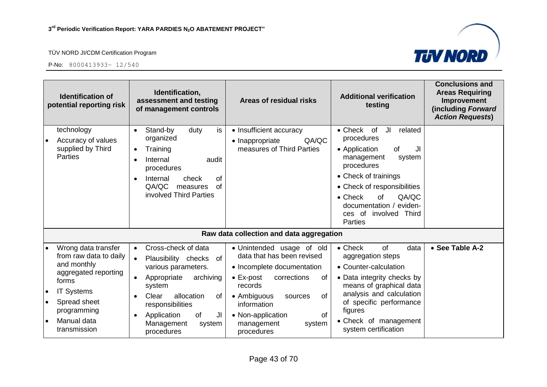



|                                                  | <b>Identification of</b><br>potential reporting risk                                                                                                                             | Identification,<br>assessment and testing<br>of management controls                                                                                                                                                                                    | Areas of residual risks                                                                                                                                                                                                                                           | <b>Additional verification</b><br>testing                                                                                                                                                                                                                                              | <b>Conclusions and</b><br><b>Areas Requiring</b><br>Improvement<br>(including Forward<br><b>Action Requests)</b> |
|--------------------------------------------------|----------------------------------------------------------------------------------------------------------------------------------------------------------------------------------|--------------------------------------------------------------------------------------------------------------------------------------------------------------------------------------------------------------------------------------------------------|-------------------------------------------------------------------------------------------------------------------------------------------------------------------------------------------------------------------------------------------------------------------|----------------------------------------------------------------------------------------------------------------------------------------------------------------------------------------------------------------------------------------------------------------------------------------|------------------------------------------------------------------------------------------------------------------|
| $\bullet$                                        | technology<br>Accuracy of values<br>supplied by Third<br><b>Parties</b>                                                                                                          | is<br>Stand-by<br>duty<br>$\bullet$<br>organized<br>Training<br>$\bullet$<br>Internal<br>audit<br>procedures<br>Internal<br>0f<br>check<br>QA/QC<br>of<br>measures<br>involved Third Parties                                                           | • Insufficient accuracy<br>QA/QC<br>• Inappropriate<br>measures of Third Parties                                                                                                                                                                                  | $\bullet$ Check<br>of<br>JI<br>related<br>procedures<br>• Application<br>of<br>JI<br>management<br>system<br>procedures<br>• Check of trainings<br>• Check of responsibilities<br>QA/QC<br>$\bullet$ Check<br>of<br>documentation / eviden-<br>ces of involved Third<br><b>Parties</b> |                                                                                                                  |
|                                                  |                                                                                                                                                                                  |                                                                                                                                                                                                                                                        | Raw data collection and data aggregation                                                                                                                                                                                                                          |                                                                                                                                                                                                                                                                                        |                                                                                                                  |
| $\bullet$<br>$\bullet$<br>$\bullet$<br>$\bullet$ | Wrong data transfer<br>from raw data to daily<br>and monthly<br>aggregated reporting<br>forms<br><b>IT Systems</b><br>Spread sheet<br>programming<br>Manual data<br>transmission | Cross-check of data<br>$\bullet$<br>Plausibility checks of<br>$\bullet$<br>various parameters.<br>archiving<br>Appropriate<br>system<br>Clear<br>allocation<br>0f<br>responsibilities<br>of<br>Application<br>JI<br>Management<br>system<br>procedures | • Unintended usage of old<br>data that has been revised<br>• Incomplete documentation<br>$\bullet$ Ex-post<br>corrections<br>of<br>records<br>• Ambiguous<br><b>of</b><br>sources<br>information<br>• Non-application<br>οf<br>management<br>system<br>procedures | of<br>data<br>$\bullet$ Check<br>aggregation steps<br>• Counter-calculation<br>• Data integrity checks by<br>means of graphical data<br>analysis and calculation<br>of specific performance<br>figures<br>• Check of management<br>system certification                                | • See Table A-2                                                                                                  |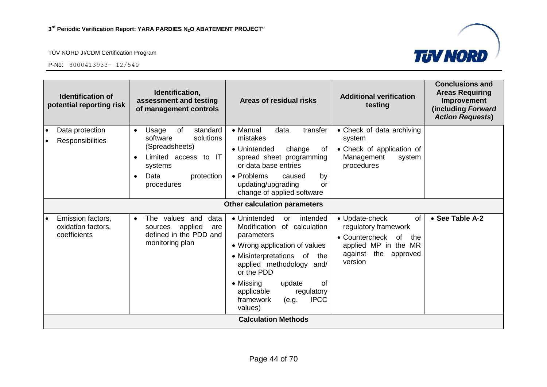

| <b>Identification of</b><br>potential reporting risk    | Identification,<br>assessment and testing<br>of management controls                                                                                    | Areas of residual risks                                                                                                                                                                                                                                                                              | <b>Additional verification</b><br>testing                                                                                                 | <b>Conclusions and</b><br><b>Areas Requiring</b><br>Improvement<br>(including Forward<br><b>Action Requests)</b> |
|---------------------------------------------------------|--------------------------------------------------------------------------------------------------------------------------------------------------------|------------------------------------------------------------------------------------------------------------------------------------------------------------------------------------------------------------------------------------------------------------------------------------------------------|-------------------------------------------------------------------------------------------------------------------------------------------|------------------------------------------------------------------------------------------------------------------|
| Data protection<br>$\bullet$<br>Responsibilities        | of<br>standard<br>Usage<br>$\bullet$<br>software<br>solutions<br>(Spreadsheets)<br>Limited access to IT<br>systems<br>Data<br>protection<br>procedures | • Manual<br>data<br>transfer<br>mistakes<br>• Unintended<br>change<br>of<br>spread sheet programming<br>or data base entries<br>• Problems<br>by<br>caused<br>updating/upgrading<br>or                                                                                                               | • Check of data archiving<br>system<br>• Check of application of<br>Management<br>system<br>procedures                                    |                                                                                                                  |
|                                                         |                                                                                                                                                        | change of applied software<br><b>Other calculation parameters</b>                                                                                                                                                                                                                                    |                                                                                                                                           |                                                                                                                  |
| Emission factors,<br>oxidation factors,<br>coefficients | The values and<br>data<br>$\bullet$<br>applied<br>sources<br>are<br>defined in the PDD and<br>monitoring plan                                          | • Unintended<br>intended<br>or<br>Modification<br>of calculation<br>parameters<br>• Wrong application of values<br>• Misinterpretations of<br>the<br>applied methodology and/<br>or the PDD<br>• Missing<br>of<br>update<br>applicable<br>regulatory<br>framework<br><b>IPCC</b><br>(e.g.<br>values) | • Update-check<br>of<br>regulatory framework<br>• Countercheck of<br>the<br>applied MP in the MR<br>the<br>against<br>approved<br>version | • See Table A-2                                                                                                  |
|                                                         |                                                                                                                                                        | <b>Calculation Methods</b>                                                                                                                                                                                                                                                                           |                                                                                                                                           |                                                                                                                  |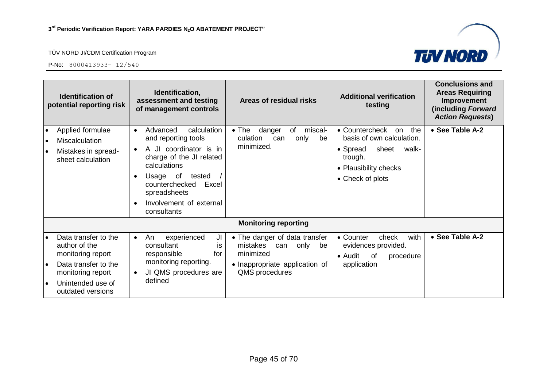



| <b>Identification of</b><br>potential reporting risk                                                                                                           | Identification,<br>assessment and testing<br>of management controls                                                                                                                                                                          | Areas of residual risks                                                                                                         | <b>Additional verification</b><br>testing                                                                                                      | <b>Conclusions and</b><br><b>Areas Requiring</b><br>Improvement<br>(including Forward<br><b>Action Requests)</b> |
|----------------------------------------------------------------------------------------------------------------------------------------------------------------|----------------------------------------------------------------------------------------------------------------------------------------------------------------------------------------------------------------------------------------------|---------------------------------------------------------------------------------------------------------------------------------|------------------------------------------------------------------------------------------------------------------------------------------------|------------------------------------------------------------------------------------------------------------------|
| Applied formulae<br>Miscalculation<br>Mistakes in spread-<br>sheet calculation                                                                                 | calculation<br>Advanced<br>$\bullet$<br>and reporting tools<br>A JI coordinator is in<br>charge of the JI related<br>calculations<br>Usage of<br>tested<br>counterchecked<br>Excel<br>spreadsheets<br>Involvement of external<br>consultants | danger<br>miscal-<br>$\bullet$ The<br>of<br>culation<br>only<br>can<br>be<br>minimized.                                         | • Countercheck<br>the<br>on<br>basis of own calculation.<br>sheet<br>• Spread<br>walk-<br>trough.<br>• Plausibility checks<br>• Check of plots | • See Table A-2                                                                                                  |
|                                                                                                                                                                |                                                                                                                                                                                                                                              | <b>Monitoring reporting</b>                                                                                                     |                                                                                                                                                |                                                                                                                  |
| Data transfer to the<br>author of the<br>monitoring report<br>Data transfer to the<br>$\bullet$<br>monitoring report<br>Unintended use of<br>outdated versions | experienced<br>An<br>JI<br>$\bullet$<br>consultant<br>İS<br>responsible<br>for<br>monitoring reporting.<br>JI QMS procedures are<br>defined                                                                                                  | • The danger of data transfer<br>mistakes<br>only<br>can<br>be<br>minimized<br>• Inappropriate application of<br>QMS procedures | with<br>• Counter<br>check<br>evidences provided.<br>• Audit<br>of<br>procedure<br>application                                                 | • See Table A-2                                                                                                  |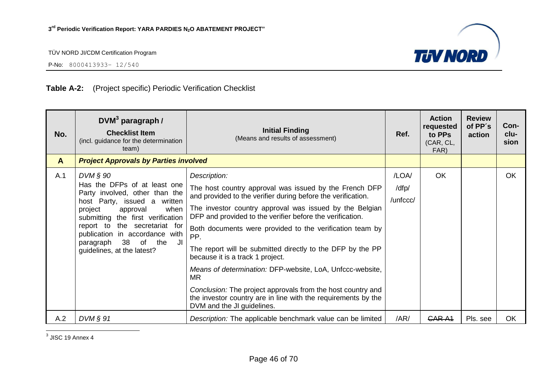

P-No: 8000413933– 12/540

# **Table A-2:** (Project specific) Periodic Verification Checklist

| No.          | $DWM3$ paragraph /<br><b>Checklist Item</b><br>(incl. guidance for the determination<br>team)                                                                                                                                                                                                                           | <b>Initial Finding</b><br>(Means and results of assessment)                                                                                                                                                                                                                                                                                                                                                                                                                                                                                                                                                                                                                 | Ref.                       | <b>Action</b><br>requested<br>to PPs<br>(CAR, CL,<br>FAR) | <b>Review</b><br>of PP's<br>action | Con-<br>clu-<br>sion |
|--------------|-------------------------------------------------------------------------------------------------------------------------------------------------------------------------------------------------------------------------------------------------------------------------------------------------------------------------|-----------------------------------------------------------------------------------------------------------------------------------------------------------------------------------------------------------------------------------------------------------------------------------------------------------------------------------------------------------------------------------------------------------------------------------------------------------------------------------------------------------------------------------------------------------------------------------------------------------------------------------------------------------------------------|----------------------------|-----------------------------------------------------------|------------------------------------|----------------------|
| $\mathbf{A}$ | <b>Project Approvals by Parties involved</b>                                                                                                                                                                                                                                                                            |                                                                                                                                                                                                                                                                                                                                                                                                                                                                                                                                                                                                                                                                             |                            |                                                           |                                    |                      |
| A.1          | $DVM$ § 90<br>Has the DFPs of at least one<br>Party involved, other than the<br>host Party, issued a written<br>project<br>approval<br>when<br>submitting the first verification<br>report to the secretariat for<br>publication in accordance with<br>38<br>paragraph<br>of<br>the<br>JI<br>guidelines, at the latest? | Description:<br>The host country approval was issued by the French DFP<br>and provided to the verifier during before the verification.<br>The investor country approval was issued by the Belgian<br>DFP and provided to the verifier before the verification.<br>Both documents were provided to the verification team by<br>PP.<br>The report will be submitted directly to the DFP by the PP<br>because it is a track 1 project.<br>Means of determination: DFP-website, LoA, Unfccc-website,<br><b>MR</b><br>Conclusion: The project approvals from the host country and<br>the investor country are in line with the requirements by the<br>DVM and the JI guidelines. | /LOA/<br>/dfp/<br>/unfccc/ | <b>OK</b>                                                 |                                    | <b>OK</b>            |
| A.2          | $DVM$ $\S$ 91                                                                                                                                                                                                                                                                                                           | Description: The applicable benchmark value can be limited                                                                                                                                                                                                                                                                                                                                                                                                                                                                                                                                                                                                                  | /AR/                       | CAR A <sub>1</sub>                                        | Pls. see                           | <b>OK</b>            |

<u>3</u><br>3 JISC 19 Annex 4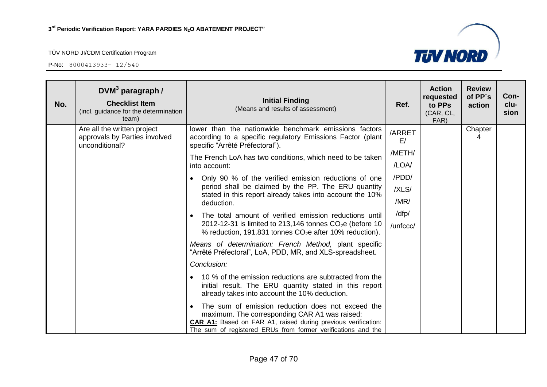

| No. | $DWM3$ paragraph /<br><b>Checklist Item</b><br>(incl. guidance for the determination<br>team) | <b>Initial Finding</b><br>(Means and results of assessment)                                                                                                                                                                                | Ref.            | <b>Action</b><br>requested<br>to PPs<br>(CAR, CL,<br>FAR) | <b>Review</b><br>of PP's<br>action | Con-<br>clu-<br>sion |
|-----|-----------------------------------------------------------------------------------------------|--------------------------------------------------------------------------------------------------------------------------------------------------------------------------------------------------------------------------------------------|-----------------|-----------------------------------------------------------|------------------------------------|----------------------|
|     | Are all the written project<br>approvals by Parties involved<br>unconditional?                | lower than the nationwide benchmark emissions factors<br>according to a specific regulatory Emissions Factor (plant<br>specific "Arrêté Préfectoral").                                                                                     | /ARRET<br>E/    |                                                           | Chapter<br>4                       |                      |
|     |                                                                                               | The French LoA has two conditions, which need to be taken<br>into account:                                                                                                                                                                 | /METH/<br>/LOA/ |                                                           |                                    |                      |
|     |                                                                                               | Only 90 % of the verified emission reductions of one                                                                                                                                                                                       | /PDD/           |                                                           |                                    |                      |
|     |                                                                                               | period shall be claimed by the PP. The ERU quantity<br>stated in this report already takes into account the 10%                                                                                                                            | /XLS/           |                                                           |                                    |                      |
|     |                                                                                               | deduction.                                                                                                                                                                                                                                 | /MR/            |                                                           |                                    |                      |
|     |                                                                                               | The total amount of verified emission reductions until<br>$\bullet$                                                                                                                                                                        | /dfp/           |                                                           |                                    |                      |
|     |                                                                                               | 2012-12-31 is limited to 213,146 tonnes $CO2e$ (before 10<br>% reduction, 191.831 tonnes $CO2e$ after 10% reduction).                                                                                                                      | /unfccc/        |                                                           |                                    |                      |
|     |                                                                                               | Means of determination: French Method, plant specific<br>"Arrêté Préfectoral", LoA, PDD, MR, and XLS-spreadsheet.                                                                                                                          |                 |                                                           |                                    |                      |
|     |                                                                                               | Conclusion:                                                                                                                                                                                                                                |                 |                                                           |                                    |                      |
|     |                                                                                               | 10 % of the emission reductions are subtracted from the<br>$\bullet$<br>initial result. The ERU quantity stated in this report<br>already takes into account the 10% deduction.                                                            |                 |                                                           |                                    |                      |
|     |                                                                                               | The sum of emission reduction does not exceed the<br>maximum. The corresponding CAR A1 was raised:<br><b>CAR A1:</b> Based on FAR A1, raised during previous verification:<br>The sum of registered ERUs from former verifications and the |                 |                                                           |                                    |                      |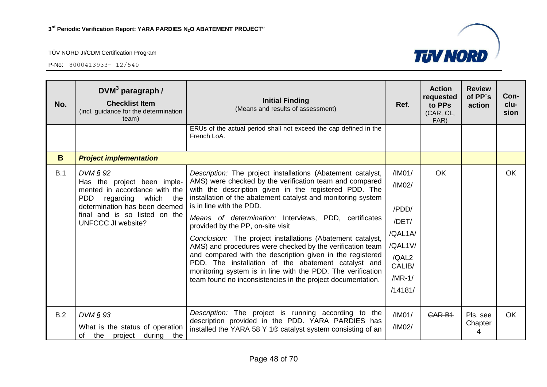

| No. | $DWM3$ paragraph /<br><b>Checklist Item</b><br>(incl. guidance for the determination<br>team)                                                                                                                      | <b>Initial Finding</b><br>(Means and results of assessment)                                                                                                                                                                                                                                                                                                                                                                                                                                                                                                                                                                                                                                                                                            | Ref.                                                                                               | <b>Action</b><br>requested<br>to PPs<br>(CAR, CL,<br>FAR) | <b>Review</b><br>of PP's<br>action | Con-<br>clu-<br>sion |
|-----|--------------------------------------------------------------------------------------------------------------------------------------------------------------------------------------------------------------------|--------------------------------------------------------------------------------------------------------------------------------------------------------------------------------------------------------------------------------------------------------------------------------------------------------------------------------------------------------------------------------------------------------------------------------------------------------------------------------------------------------------------------------------------------------------------------------------------------------------------------------------------------------------------------------------------------------------------------------------------------------|----------------------------------------------------------------------------------------------------|-----------------------------------------------------------|------------------------------------|----------------------|
|     |                                                                                                                                                                                                                    | ERUs of the actual period shall not exceed the cap defined in the<br>French LoA.                                                                                                                                                                                                                                                                                                                                                                                                                                                                                                                                                                                                                                                                       |                                                                                                    |                                                           |                                    |                      |
| B   | <b>Project implementation</b>                                                                                                                                                                                      |                                                                                                                                                                                                                                                                                                                                                                                                                                                                                                                                                                                                                                                                                                                                                        |                                                                                                    |                                                           |                                    |                      |
| B.1 | $DVM \S 92$<br>Has the project been imple-<br>mented in accordance with the<br><b>PDD</b><br>regarding which<br>the<br>determination has been deemed<br>final and is so listed on the<br><b>UNFCCC JI website?</b> | Description: The project installations (Abatement catalyst,<br>AMS) were checked by the verification team and compared<br>with the description given in the registered PDD. The<br>installation of the abatement catalyst and monitoring system<br>is in line with the PDD.<br>Means of determination: Interviews, PDD, certificates<br>provided by the PP, on-site visit<br>Conclusion: The project installations (Abatement catalyst,<br>AMS) and procedures were checked by the verification team<br>and compared with the description given in the registered<br>PDD. The installation of the abatement catalyst and<br>monitoring system is in line with the PDD. The verification<br>team found no inconsistencies in the project documentation. | /IM01/<br>/IM02/<br>/PDD/<br>/DET/<br>/QAL1A/<br>/QAL1V/<br>/QAL2<br>CALIB/<br>$/MR-1/$<br>/14181/ | <b>OK</b>                                                 |                                    | <b>OK</b>            |
| B.2 | DVM § 93<br>What is the status of operation<br>project<br>of<br>the<br>during<br>the                                                                                                                               | Description: The project is running according to the<br>description provided in the PDD. YARA PARDIES has<br>installed the YARA 58 Y 1® catalyst system consisting of an                                                                                                                                                                                                                                                                                                                                                                                                                                                                                                                                                                               | /IM01/<br>/IM02/                                                                                   | <b>CAR B1</b>                                             | Pls. see<br>Chapter<br>4           | <b>OK</b>            |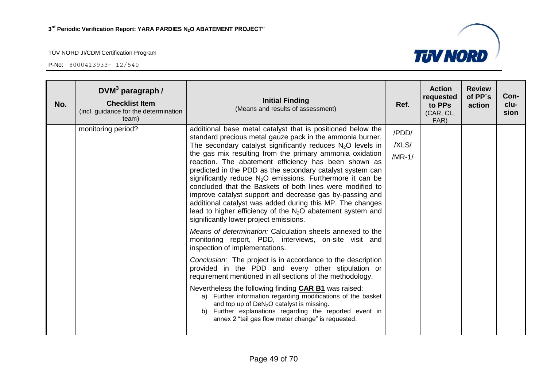

| No. | $DVM3$ paragraph /<br><b>Checklist Item</b><br>(incl. guidance for the determination<br>team) | <b>Initial Finding</b><br>(Means and results of assessment)                                                                                                                                                                                                                                                                                                                                                                                                                                                                                                                                                                                                                                                                                                                                                                                                                                                                                                                                                                                                                                                                                                                                                                                                                                                                                                                                    | Ref.                       | <b>Action</b><br>requested<br>to PPs<br>(CAR, CL,<br>FAR) | <b>Review</b><br>of PP's<br>action | Con-<br>clu-<br>sion |
|-----|-----------------------------------------------------------------------------------------------|------------------------------------------------------------------------------------------------------------------------------------------------------------------------------------------------------------------------------------------------------------------------------------------------------------------------------------------------------------------------------------------------------------------------------------------------------------------------------------------------------------------------------------------------------------------------------------------------------------------------------------------------------------------------------------------------------------------------------------------------------------------------------------------------------------------------------------------------------------------------------------------------------------------------------------------------------------------------------------------------------------------------------------------------------------------------------------------------------------------------------------------------------------------------------------------------------------------------------------------------------------------------------------------------------------------------------------------------------------------------------------------------|----------------------------|-----------------------------------------------------------|------------------------------------|----------------------|
|     | monitoring period?                                                                            | additional base metal catalyst that is positioned below the<br>standard precious metal gauze pack in the ammonia burner.<br>The secondary catalyst significantly reduces $N_2O$ levels in<br>the gas mix resulting from the primary ammonia oxidation<br>reaction. The abatement efficiency has been shown as<br>predicted in the PDD as the secondary catalyst system can<br>significantly reduce $N_2O$ emissions. Furthermore it can be<br>concluded that the Baskets of both lines were modified to<br>improve catalyst support and decrease gas by-passing and<br>additional catalyst was added during this MP. The changes<br>lead to higher efficiency of the $N_2O$ abatement system and<br>significantly lower project emissions.<br>Means of determination: Calculation sheets annexed to the<br>monitoring report, PDD, interviews, on-site visit and<br>inspection of implementations.<br>Conclusion: The project is in accordance to the description<br>provided in the PDD and every other stipulation or<br>requirement mentioned in all sections of the methodology.<br>Nevertheless the following finding <b>CAR B1</b> was raised:<br>a) Further information regarding modifications of the basket<br>and top up of DeN <sub>2</sub> O catalyst is missing.<br>b) Further explanations regarding the reported event in<br>annex 2 "tail gas flow meter change" is requested. | /PDD/<br>/XLS/<br>$/MR-1/$ |                                                           |                                    |                      |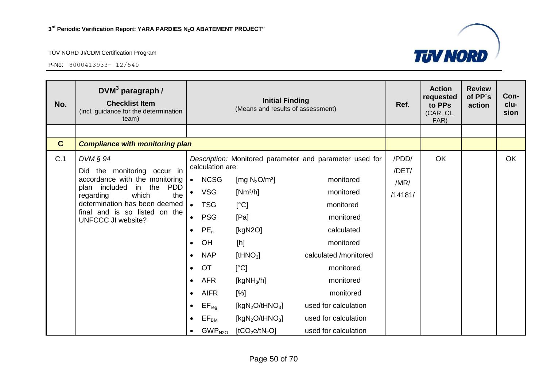

| No.         | $DVM3$ paragraph /<br><b>Checklist Item</b><br>(incl. guidance for the determination<br>team)                                                                                                                                         |           |                               | <b>Initial Finding</b><br>(Means and results of assessment) |                                                         | Ref.    | <b>Action</b><br>requested<br>to PPs<br>(CAR, CL,<br>FAR) | <b>Review</b><br>of PP's<br>action | Con-<br>clu-<br>sion |
|-------------|---------------------------------------------------------------------------------------------------------------------------------------------------------------------------------------------------------------------------------------|-----------|-------------------------------|-------------------------------------------------------------|---------------------------------------------------------|---------|-----------------------------------------------------------|------------------------------------|----------------------|
|             |                                                                                                                                                                                                                                       |           |                               |                                                             |                                                         |         |                                                           |                                    |                      |
| $\mathbf C$ | <b>Compliance with monitoring plan</b>                                                                                                                                                                                                |           |                               |                                                             |                                                         |         |                                                           |                                    |                      |
| C.1         | $DVM \S 94$                                                                                                                                                                                                                           |           |                               |                                                             | Description: Monitored parameter and parameter used for | /PDD/   | OK                                                        |                                    | OK                   |
|             | the monitoring occur in<br>Did<br>accordance with the monitoring<br>plan included<br>in the<br><b>PDD</b><br>which<br>regarding<br>the<br>determination has been deemed<br>final and is so listed on the<br><b>UNFCCC JI website?</b> |           | calculation are:              |                                                             |                                                         | /DET/   |                                                           |                                    |                      |
|             |                                                                                                                                                                                                                                       | $\bullet$ | <b>NCSG</b>                   | [mg $N_2O/m^3$ ]                                            | monitored                                               | /MR/    |                                                           |                                    |                      |
|             |                                                                                                                                                                                                                                       | $\bullet$ | <b>VSG</b>                    | $[Nm^3/h]$                                                  | monitored                                               | /14181/ |                                                           |                                    |                      |
|             |                                                                                                                                                                                                                                       | $\bullet$ | <b>TSG</b>                    | [°C]                                                        | monitored                                               |         |                                                           |                                    |                      |
|             |                                                                                                                                                                                                                                       | $\bullet$ | <b>PSG</b>                    | [Pa]                                                        | monitored                                               |         |                                                           |                                    |                      |
|             |                                                                                                                                                                                                                                       | $\bullet$ | $PE_n$                        | [ $kgN2O$ ]                                                 | calculated                                              |         |                                                           |                                    |                      |
|             |                                                                                                                                                                                                                                       | $\bullet$ | OH                            | [h]                                                         | monitored                                               |         |                                                           |                                    |                      |
|             |                                                                                                                                                                                                                                       | $\bullet$ | <b>NAP</b>                    | [tHNO <sub>3</sub> ]                                        | calculated /monitored                                   |         |                                                           |                                    |                      |
|             |                                                                                                                                                                                                                                       | $\bullet$ | <b>OT</b>                     | [°C]                                                        | monitored                                               |         |                                                           |                                    |                      |
|             |                                                                                                                                                                                                                                       | $\bullet$ | <b>AFR</b>                    | [ $kgNH3/h$ ]                                               | monitored                                               |         |                                                           |                                    |                      |
|             |                                                                                                                                                                                                                                       | $\bullet$ | <b>AIFR</b>                   | [%]                                                         | monitored                                               |         |                                                           |                                    |                      |
|             |                                                                                                                                                                                                                                       |           | $EF_{reg}$                    | [kgN <sub>2</sub> O/tHNO <sub>3</sub> ]                     | used for calculation                                    |         |                                                           |                                    |                      |
|             |                                                                                                                                                                                                                                       | $\bullet$ | $\mathsf{EF}_\mathsf{BM}$     | [ $kgN2O/tHNO3$ ]                                           | used for calculation                                    |         |                                                           |                                    |                      |
|             |                                                                                                                                                                                                                                       | $\bullet$ | $\mathsf{GWP}_{\mathsf{N2O}}$ | [tCO <sub>2</sub> e/tN <sub>2</sub> O]                      | used for calculation                                    |         |                                                           |                                    |                      |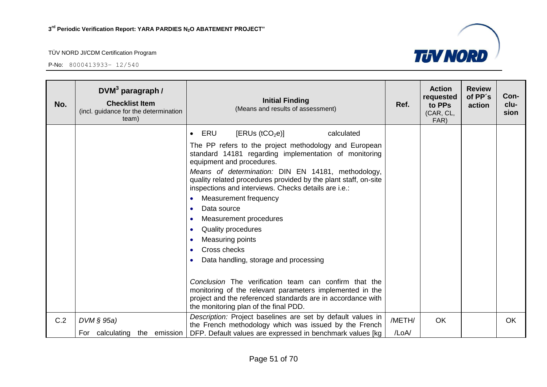

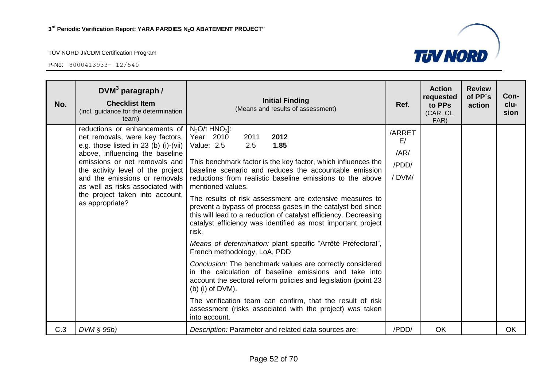

| No. | $DVM3$ paragraph /<br><b>Checklist Item</b><br>(incl. guidance for the determination<br>team)                                                                                                                                                                                                                                                 | <b>Initial Finding</b><br>(Means and results of assessment)                                                                                                                                                                                                                                                                                                                                                                                                                                                                                                                                                                                                                                                                                                                                                                                                                                                                                                                                                                             | Ref.                                   | <b>Action</b><br>requested<br>to PPs<br>(CAR, CL,<br>FAR) | <b>Review</b><br>of PP's<br>action | Con-<br>clu-<br>sion |
|-----|-----------------------------------------------------------------------------------------------------------------------------------------------------------------------------------------------------------------------------------------------------------------------------------------------------------------------------------------------|-----------------------------------------------------------------------------------------------------------------------------------------------------------------------------------------------------------------------------------------------------------------------------------------------------------------------------------------------------------------------------------------------------------------------------------------------------------------------------------------------------------------------------------------------------------------------------------------------------------------------------------------------------------------------------------------------------------------------------------------------------------------------------------------------------------------------------------------------------------------------------------------------------------------------------------------------------------------------------------------------------------------------------------------|----------------------------------------|-----------------------------------------------------------|------------------------------------|----------------------|
|     | reductions or enhancements of<br>net removals, were key factors,<br>e.g. those listed in 23 (b) (i)-(vii)<br>above, influencing the baseline<br>emissions or net removals and<br>the activity level of the project<br>and the emissions or removals<br>as well as risks associated with<br>the project taken into account,<br>as appropriate? | $N_2$ O/t HNO <sub>3</sub> ]:<br>Year: 2010<br>2011<br>2012<br>1.85<br>Value: 2.5<br>2.5<br>This benchmark factor is the key factor, which influences the<br>baseline scenario and reduces the accountable emission<br>reductions from realistic baseline emissions to the above<br>mentioned values.<br>The results of risk assessment are extensive measures to<br>prevent a bypass of process gases in the catalyst bed since<br>this will lead to a reduction of catalyst efficiency. Decreasing<br>catalyst efficiency was identified as most important project<br>risk.<br>Means of determination: plant specific "Arrêté Préfectoral",<br>French methodology, LoA, PDD<br>Conclusion: The benchmark values are correctly considered<br>in the calculation of baseline emissions and take into<br>account the sectoral reform policies and legislation (point 23<br>$(b)$ (i) of DVM).<br>The verification team can confirm, that the result of risk<br>assessment (risks associated with the project) was taken<br>into account. | /ARRET<br>E/<br>/AR/<br>/PDD/<br>/DVM/ |                                                           |                                    |                      |
| C.3 | $DVM \S 95b$                                                                                                                                                                                                                                                                                                                                  | Description: Parameter and related data sources are:                                                                                                                                                                                                                                                                                                                                                                                                                                                                                                                                                                                                                                                                                                                                                                                                                                                                                                                                                                                    | /PDD/                                  | OK                                                        |                                    | OK                   |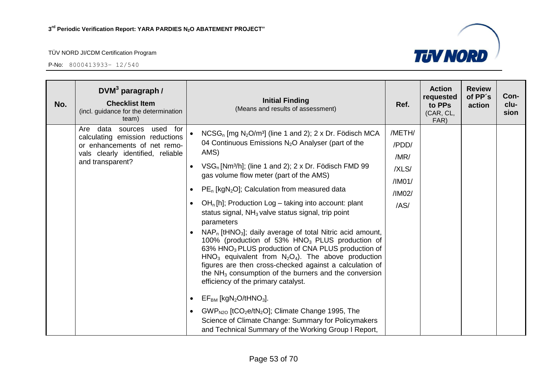

| No. | $DVM3$ paragraph /<br><b>Checklist Item</b><br>(incl. guidance for the determination<br>team)                                                               | <b>Initial Finding</b><br>(Means and results of assessment)                                                                                                                                                                                                                                                                                                                                                                                                                                                                                                                                                                                                                                                                                                                                                                                                                                                                                                                                                                                                                                                                                                                                                                         | Ref.                                                         | <b>Action</b><br>requested<br>to PPs<br>(CAR, CL,<br>FAR) | <b>Review</b><br>of PP's<br>action | Con-<br>clu-<br>sion |
|-----|-------------------------------------------------------------------------------------------------------------------------------------------------------------|-------------------------------------------------------------------------------------------------------------------------------------------------------------------------------------------------------------------------------------------------------------------------------------------------------------------------------------------------------------------------------------------------------------------------------------------------------------------------------------------------------------------------------------------------------------------------------------------------------------------------------------------------------------------------------------------------------------------------------------------------------------------------------------------------------------------------------------------------------------------------------------------------------------------------------------------------------------------------------------------------------------------------------------------------------------------------------------------------------------------------------------------------------------------------------------------------------------------------------------|--------------------------------------------------------------|-----------------------------------------------------------|------------------------------------|----------------------|
|     | Are data<br>used for<br>sources<br>calculating emission reductions<br>or enhancements of net remo-<br>vals clearly identified, reliable<br>and transparent? | $NCSG_n$ [mg N <sub>2</sub> O/m <sup>3</sup> ] (line 1 and 2); 2 x Dr. Födisch MCA<br>04 Continuous Emissions N <sub>2</sub> O Analyser (part of the<br>AMS)<br>$VSG_n$ [Nm <sup>3</sup> /h]; (line 1 and 2); 2 x Dr. Födisch FMD 99<br>$\bullet$<br>gas volume flow meter (part of the AMS)<br>$PE_n$ [kgN <sub>2</sub> O]; Calculation from measured data<br>$\bullet$<br>$OHn[h]$ ; Production Log – taking into account: plant<br>$\bullet$<br>status signal, NH <sub>3</sub> valve status signal, trip point<br>parameters<br>$NAP_n$ [tHNO <sub>3</sub> ]; daily average of total Nitric acid amount,<br>$\bullet$<br>100% (production of 53% HNO <sub>3</sub> PLUS production of<br>63% HNO <sub>3</sub> PLUS production of CNA PLUS production of<br>$HNO3$ equivalent from $N2O4$ . The above production<br>figures are then cross-checked against a calculation of<br>the $NH3$ consumption of the burners and the conversion<br>efficiency of the primary catalyst.<br>$EF_{BM}$ [kgN <sub>2</sub> O/tHNO <sub>3</sub> ].<br>$GWP_{N2O}$ [tCO <sub>2</sub> e/tN <sub>2</sub> O]; Climate Change 1995, The<br>Science of Climate Change: Summary for Policymakers<br>and Technical Summary of the Working Group I Report, | /METH/<br>/PDD/<br>/MR/<br>/XLS/<br>/IM01/<br>/IM02/<br>/AS/ |                                                           |                                    |                      |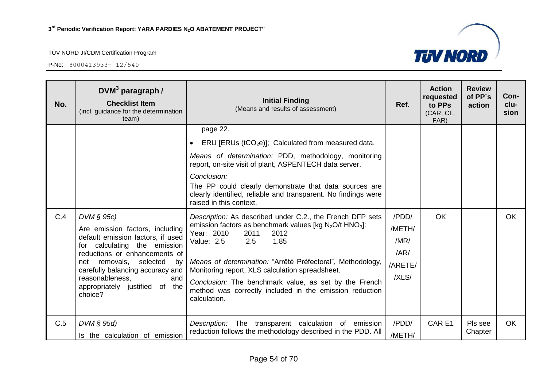

| No. | DVM <sup>3</sup> paragraph /<br><b>Checklist Item</b><br>(incl. guidance for the determination<br>team)                                                                                                                                                                                                | <b>Initial Finding</b><br>(Means and results of assessment)                                                                                                                                                                                                                                                                                                                                                                                                                                                                                                                                                                                                                                                                                                                                                      | Ref.                                                | <b>Action</b><br>requested<br>to PPs<br>(CAR, CL,<br>FAR) | <b>Review</b><br>of PP's<br>action | Con-<br>clu-<br>sion |
|-----|--------------------------------------------------------------------------------------------------------------------------------------------------------------------------------------------------------------------------------------------------------------------------------------------------------|------------------------------------------------------------------------------------------------------------------------------------------------------------------------------------------------------------------------------------------------------------------------------------------------------------------------------------------------------------------------------------------------------------------------------------------------------------------------------------------------------------------------------------------------------------------------------------------------------------------------------------------------------------------------------------------------------------------------------------------------------------------------------------------------------------------|-----------------------------------------------------|-----------------------------------------------------------|------------------------------------|----------------------|
| C.4 | $DVM \S 95c$<br>Are emission factors, including<br>default emission factors, if used<br>for calculating the emission<br>reductions or enhancements of<br>removals,<br>selected<br>bv<br>net<br>carefully balancing accuracy and<br>reasonableness,<br>and<br>appropriately justified of the<br>choice? | page 22.<br>ERU [ERUs ( $tCO2e$ )]; Calculated from measured data.<br>Means of determination: PDD, methodology, monitoring<br>report, on-site visit of plant, ASPENTECH data server.<br>Conclusion:<br>The PP could clearly demonstrate that data sources are<br>clearly identified, reliable and transparent. No findings were<br>raised in this context.<br>Description: As described under C.2., the French DFP sets<br>emission factors as benchmark values [kg $N_2O/t$ HNO <sub>3</sub> ]:<br>Year: 2010<br>2011<br>2012<br>2.5<br>1.85<br>Value: 2.5<br>Means of determination: "Arrêté Préfectoral", Methodology,<br>Monitoring report, XLS calculation spreadsheet.<br>Conclusion: The benchmark value, as set by the French<br>method was correctly included in the emission reduction<br>calculation. | /PDD/<br>/METH/<br>/MR/<br>/AR/<br>/ARETE/<br>/XLS/ | OK                                                        |                                    | <b>OK</b>            |
| C.5 | $DVM \S 95d$<br>Is the calculation of emission                                                                                                                                                                                                                                                         | Description: The transparent calculation of emission<br>reduction follows the methodology described in the PDD. All                                                                                                                                                                                                                                                                                                                                                                                                                                                                                                                                                                                                                                                                                              | /PDD/<br>/METH/                                     | <b>CARE1</b>                                              | Pls see<br>Chapter                 | <b>OK</b>            |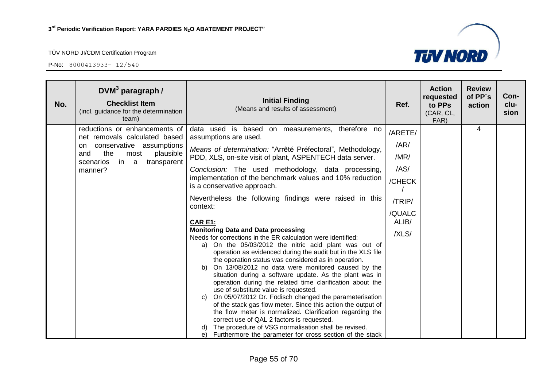

| No. | DVM $3$ paragraph /<br><b>Checklist Item</b><br>(incl. guidance for the determination<br>team)                                                                                     | <b>Initial Finding</b><br>(Means and results of assessment)                                                                                                                                                                                                                                                                                                                                                                                                                                                                                                                                                                                                                                                                                                                                                                                                 | Ref.                                                                            | <b>Action</b><br>requested<br>to PPs<br>(CAR, CL,<br>FAR) | <b>Review</b><br>of PP's<br>action | Con-<br>clu-<br>sion |
|-----|------------------------------------------------------------------------------------------------------------------------------------------------------------------------------------|-------------------------------------------------------------------------------------------------------------------------------------------------------------------------------------------------------------------------------------------------------------------------------------------------------------------------------------------------------------------------------------------------------------------------------------------------------------------------------------------------------------------------------------------------------------------------------------------------------------------------------------------------------------------------------------------------------------------------------------------------------------------------------------------------------------------------------------------------------------|---------------------------------------------------------------------------------|-----------------------------------------------------------|------------------------------------|----------------------|
|     | reductions or enhancements of<br>net removals calculated based<br>conservative assumptions<br>on<br>the<br>plausible<br>and<br>most<br>in a<br>transparent<br>scenarios<br>manner? | data used is based on measurements, therefore no<br>assumptions are used.<br>Means of determination: "Arrêté Préfectoral", Methodology,<br>PDD, XLS, on-site visit of plant, ASPENTECH data server.<br>Conclusion: The used methodology, data processing,<br>implementation of the benchmark values and 10% reduction<br>is a conservative approach.<br>Nevertheless the following findings were raised in this<br>context:<br>CAR E1:<br><b>Monitoring Data and Data processing</b><br>Needs for corrections in the ER calculation were identified:<br>a) On the 05/03/2012 the nitric acid plant was out of<br>operation as evidenced during the audit but in the XLS file<br>the operation status was considered as in operation.<br>On 13/08/2012 no data were monitored caused by the<br>b)<br>situation during a software update. As the plant was in | /ARETE/<br>/AR/<br>/MR/<br>/AS/<br>/CHECK<br>/TRIP/<br>/QUALC<br>ALIB/<br>/XLS/ |                                                           | $\overline{4}$                     |                      |
|     |                                                                                                                                                                                    | operation during the related time clarification about the<br>use of substitute value is requested.<br>On 05/07/2012 Dr. Födisch changed the parameterisation<br>C)<br>of the stack gas flow meter. Since this action the output of<br>the flow meter is normalized. Clarification regarding the<br>correct use of QAL 2 factors is requested.<br>The procedure of VSG normalisation shall be revised.<br>Furthermore the parameter for cross section of the stack<br>e)                                                                                                                                                                                                                                                                                                                                                                                     |                                                                                 |                                                           |                                    |                      |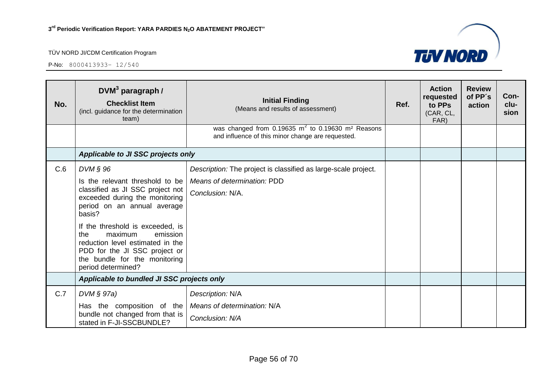

| No. | $DVM3$ paragraph /<br><b>Checklist Item</b><br>(incl. guidance for the determination<br>team)                                                                                                                                                                                                                                                                 | <b>Initial Finding</b><br>(Means and results of assessment)                                                                  | Ref. | <b>Action</b><br>requested<br>to PPs<br>(CAR, CL,<br>FAR) | <b>Review</b><br>of PP's<br>action | Con-<br>clu-<br>sion |
|-----|---------------------------------------------------------------------------------------------------------------------------------------------------------------------------------------------------------------------------------------------------------------------------------------------------------------------------------------------------------------|------------------------------------------------------------------------------------------------------------------------------|------|-----------------------------------------------------------|------------------------------------|----------------------|
|     |                                                                                                                                                                                                                                                                                                                                                               | was changed from $0.19635 \text{ m}^2$ to $0.19630 \text{ m}^2$ Reasons<br>and influence of this minor change are requested. |      |                                                           |                                    |                      |
|     | Applicable to JI SSC projects only                                                                                                                                                                                                                                                                                                                            |                                                                                                                              |      |                                                           |                                    |                      |
| C.6 | $DVM$ $\S$ 96<br>Is the relevant threshold to be<br>classified as JI SSC project not<br>exceeded during the monitoring<br>period on an annual average<br>basis?<br>If the threshold is exceeded, is<br>maximum<br>emission<br>the<br>reduction level estimated in the<br>PDD for the JI SSC project or<br>the bundle for the monitoring<br>period determined? | Description: The project is classified as large-scale project.<br>Means of determination: PDD<br>Conclusion: N/A.            |      |                                                           |                                    |                      |
|     | Applicable to bundled JI SSC projects only                                                                                                                                                                                                                                                                                                                    |                                                                                                                              |      |                                                           |                                    |                      |
| C.7 | $DVM \S 97a)$<br>Has the composition of the<br>bundle not changed from that is<br>stated in F-JI-SSCBUNDLE?                                                                                                                                                                                                                                                   | Description: N/A<br>Means of determination: N/A<br>Conclusion: N/A                                                           |      |                                                           |                                    |                      |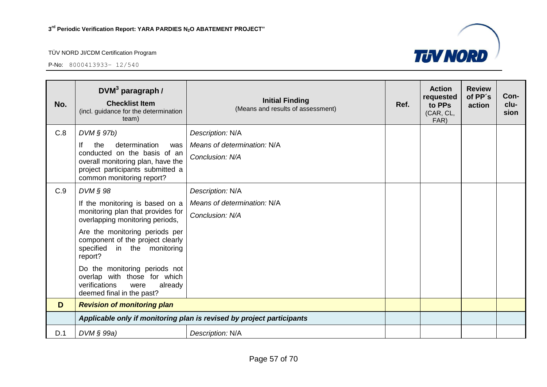P-No: 8000413933– 12/540



| No. | $DWM3$ paragraph /<br><b>Checklist Item</b><br>(incl. guidance for the determination<br>team)                                                                           | <b>Initial Finding</b><br>(Means and results of assessment)           | Ref. | <b>Action</b><br>requested<br>to PPs<br>(CAR, CL,<br>FAR) | <b>Review</b><br>of PP's<br>action | Con-<br>clu-<br>sion |
|-----|-------------------------------------------------------------------------------------------------------------------------------------------------------------------------|-----------------------------------------------------------------------|------|-----------------------------------------------------------|------------------------------------|----------------------|
| C.8 | DVM § 97b)                                                                                                                                                              | Description: N/A                                                      |      |                                                           |                                    |                      |
|     | lf<br>determination<br>the<br>was<br>conducted on the basis of an<br>overall monitoring plan, have the<br>project participants submitted a<br>common monitoring report? | Means of determination: N/A<br>Conclusion: N/A                        |      |                                                           |                                    |                      |
| C.9 | DVM § 98                                                                                                                                                                | Description: N/A                                                      |      |                                                           |                                    |                      |
|     | If the monitoring is based on a<br>monitoring plan that provides for<br>overlapping monitoring periods,                                                                 | Means of determination: N/A<br>Conclusion: N/A                        |      |                                                           |                                    |                      |
|     | Are the monitoring periods per<br>component of the project clearly<br>in the monitoring<br>specified<br>report?                                                         |                                                                       |      |                                                           |                                    |                      |
|     | Do the monitoring periods not<br>overlap with those for which<br>verifications<br>already<br>were<br>deemed final in the past?                                          |                                                                       |      |                                                           |                                    |                      |
| D   | <b>Revision of monitoring plan</b>                                                                                                                                      |                                                                       |      |                                                           |                                    |                      |
|     |                                                                                                                                                                         | Applicable only if monitoring plan is revised by project participants |      |                                                           |                                    |                      |
| D.1 | DVM § 99a)                                                                                                                                                              | Description: N/A                                                      |      |                                                           |                                    |                      |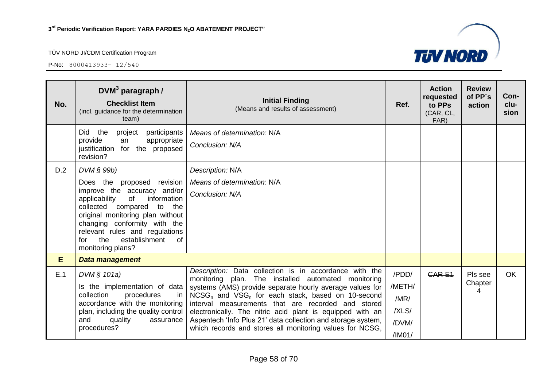

| No. | $DVM3$ paragraph /<br><b>Checklist Item</b><br>(incl. guidance for the determination<br>team)                                                                                                                                                                                                                          | <b>Initial Finding</b><br>(Means and results of assessment)                                                                                                                                                                                                                                                                                                                                                                                                                                           | Ref.                                                | <b>Action</b><br>requested<br>to PPs<br>(CAR, CL,<br>FAR) | <b>Review</b><br>of PP's<br>action | Con-<br>clu-<br>sion |
|-----|------------------------------------------------------------------------------------------------------------------------------------------------------------------------------------------------------------------------------------------------------------------------------------------------------------------------|-------------------------------------------------------------------------------------------------------------------------------------------------------------------------------------------------------------------------------------------------------------------------------------------------------------------------------------------------------------------------------------------------------------------------------------------------------------------------------------------------------|-----------------------------------------------------|-----------------------------------------------------------|------------------------------------|----------------------|
|     | Did the<br>project<br>participants<br>provide<br>appropriate<br>an<br>justification for the proposed<br>revision?                                                                                                                                                                                                      | Means of determination: N/A<br>Conclusion: N/A                                                                                                                                                                                                                                                                                                                                                                                                                                                        |                                                     |                                                           |                                    |                      |
| D.2 | $DVM \S 99b$<br>Does the proposed revision<br>improve the accuracy and/or<br>information<br>applicability<br>of<br>collected compared to<br>the<br>original monitoring plan without<br>changing conformity with the<br>relevant rules and regulations<br>establishment<br>$\circ$ f<br>the<br>for<br>monitoring plans? | Description: N/A<br>Means of determination: N/A<br>Conclusion: N/A                                                                                                                                                                                                                                                                                                                                                                                                                                    |                                                     |                                                           |                                    |                      |
| E   | Data management                                                                                                                                                                                                                                                                                                        |                                                                                                                                                                                                                                                                                                                                                                                                                                                                                                       |                                                     |                                                           |                                    |                      |
| E.1 | DVM $§ 101a)$<br>Is the implementation of data<br>collection<br>procedures<br><i>in</i><br>accordance with the monitoring<br>plan, including the quality control<br>and<br>quality<br>assurance<br>procedures?                                                                                                         | Description: Data collection is in accordance with the<br>monitoring plan. The installed automated monitoring<br>systems (AMS) provide separate hourly average values for<br>NCSG <sub>n</sub> and VSG <sub>n</sub> for each stack, based on 10-second<br>interval measurements that are recorded and stored<br>electronically. The nitric acid plant is equipped with an<br>Aspentech 'Info Plus 21' data collection and storage system,<br>which records and stores all monitoring values for NCSG, | /PDD/<br>/METH/<br>/MR/<br>/XLS/<br>/DVM/<br>/IM01/ | CAR <sub>E1</sub>                                         | Pls see<br>Chapter<br>4            | <b>OK</b>            |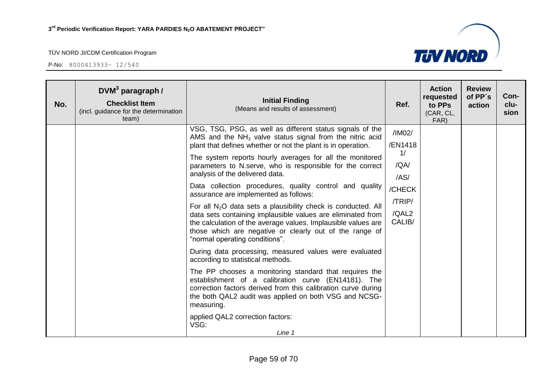

| No. | $DVM3$ paragraph /<br><b>Checklist Item</b><br>(incl. guidance for the determination<br>team) | <b>Initial Finding</b><br>(Means and results of assessment)                                                                                                                                                                                                                                                                                                                                                                                                                                                                                                                                                                                                                                                                                                                                                                                                                                                                                                                                                                                                                                                                                                           | Ref.                                                                           | <b>Action</b><br>requested<br>to PPs<br>(CAR, CL,<br>FAR) | <b>Review</b><br>of PP's<br>action | Con-<br>clu-<br>sion |
|-----|-----------------------------------------------------------------------------------------------|-----------------------------------------------------------------------------------------------------------------------------------------------------------------------------------------------------------------------------------------------------------------------------------------------------------------------------------------------------------------------------------------------------------------------------------------------------------------------------------------------------------------------------------------------------------------------------------------------------------------------------------------------------------------------------------------------------------------------------------------------------------------------------------------------------------------------------------------------------------------------------------------------------------------------------------------------------------------------------------------------------------------------------------------------------------------------------------------------------------------------------------------------------------------------|--------------------------------------------------------------------------------|-----------------------------------------------------------|------------------------------------|----------------------|
|     |                                                                                               | VSG, TSG, PSG, as well as different status signals of the<br>AMS and the $NH3$ valve status signal from the nitric acid<br>plant that defines whether or not the plant is in operation.<br>The system reports hourly averages for all the monitored<br>parameters to N.serve, who is responsible for the correct<br>analysis of the delivered data.<br>Data collection procedures, quality control and quality<br>assurance are implemented as follows:<br>For all $N_2O$ data sets a plausibility check is conducted. All<br>data sets containing implausible values are eliminated from<br>the calculation of the average values. Implausible values are<br>those which are negative or clearly out of the range of<br>"normal operating conditions".<br>During data processing, measured values were evaluated<br>according to statistical methods.<br>The PP chooses a monitoring standard that requires the<br>establishment of a calibration curve (EN14181). The<br>correction factors derived from this calibration curve during<br>the both QAL2 audit was applied on both VSG and NCSG-<br>measuring.<br>applied QAL2 correction factors:<br>VSG:<br>Line 1 | /IM02/<br>/EN1418<br>1/<br>/QA/<br>/AS/<br>/CHECK<br>/TRIP/<br>/QAL2<br>CALIB/ |                                                           |                                    |                      |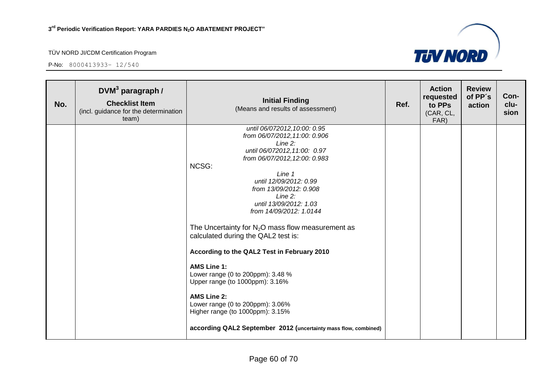

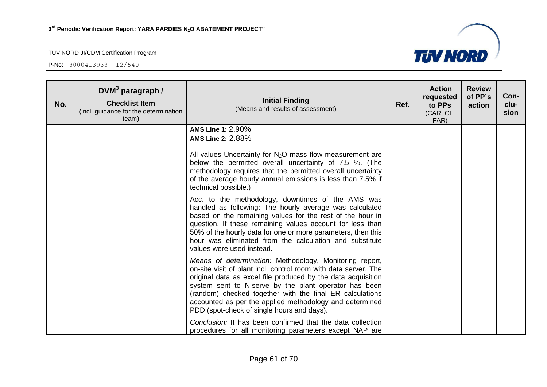

| No. | $DWM3$ paragraph /<br><b>Checklist Item</b><br>(incl. guidance for the determination<br>team) | <b>Initial Finding</b><br>(Means and results of assessment)                                                                                                                                                                                                                                                                                                                                                              | Ref. | <b>Action</b><br>requested<br>to PPs<br>(CAR, CL,<br>FAR) | <b>Review</b><br>of PP's<br>action | Con-<br>clu-<br>sion |
|-----|-----------------------------------------------------------------------------------------------|--------------------------------------------------------------------------------------------------------------------------------------------------------------------------------------------------------------------------------------------------------------------------------------------------------------------------------------------------------------------------------------------------------------------------|------|-----------------------------------------------------------|------------------------------------|----------------------|
|     |                                                                                               | <b>AMS Line 1: 2.90%</b><br>AMS Line 2: 2.88%<br>All values Uncertainty for $N_2O$ mass flow measurement are<br>below the permitted overall uncertainty of 7.5 %. (The<br>methodology requires that the permitted overall uncertainty<br>of the average hourly annual emissions is less than 7.5% if<br>technical possible.)                                                                                             |      |                                                           |                                    |                      |
|     |                                                                                               | Acc. to the methodology, downtimes of the AMS was<br>handled as following: The hourly average was calculated<br>based on the remaining values for the rest of the hour in<br>question. If these remaining values account for less than<br>50% of the hourly data for one or more parameters, then this<br>hour was eliminated from the calculation and substitute<br>values were used instead.                           |      |                                                           |                                    |                      |
|     |                                                                                               | Means of determination: Methodology, Monitoring report,<br>on-site visit of plant incl. control room with data server. The<br>original data as excel file produced by the data acquisition<br>system sent to N.serve by the plant operator has been<br>(random) checked together with the final ER calculations<br>accounted as per the applied methodology and determined<br>PDD (spot-check of single hours and days). |      |                                                           |                                    |                      |
|     |                                                                                               | Conclusion: It has been confirmed that the data collection<br>procedures for all monitoring parameters except NAP are                                                                                                                                                                                                                                                                                                    |      |                                                           |                                    |                      |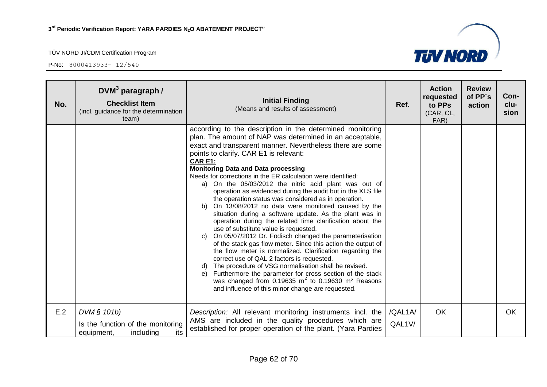| No. | DVM <sup>3</sup> paragraph /<br><b>Checklist Item</b><br>(incl. guidance for the determination<br>team) | <b>Initial Finding</b><br>(Means and results of assessment)                                                                                                                                                                                                                                                                                                                                                                                                                                                                                                                                                                                                                                                                                                                                                                                                                                                                                                                                                                                                                                                                                                                                                                                                    | Ref.              | <b>Action</b><br>requested<br>to PPs<br>(CAR, CL,<br>FAR) | <b>Review</b><br>of PP's<br>action | Con-<br>clu-<br>sion |
|-----|---------------------------------------------------------------------------------------------------------|----------------------------------------------------------------------------------------------------------------------------------------------------------------------------------------------------------------------------------------------------------------------------------------------------------------------------------------------------------------------------------------------------------------------------------------------------------------------------------------------------------------------------------------------------------------------------------------------------------------------------------------------------------------------------------------------------------------------------------------------------------------------------------------------------------------------------------------------------------------------------------------------------------------------------------------------------------------------------------------------------------------------------------------------------------------------------------------------------------------------------------------------------------------------------------------------------------------------------------------------------------------|-------------------|-----------------------------------------------------------|------------------------------------|----------------------|
|     |                                                                                                         | according to the description in the determined monitoring<br>plan. The amount of NAP was determined in an acceptable,<br>exact and transparent manner. Nevertheless there are some<br>points to clarify. CAR E1 is relevant:<br><b>CAR E1:</b><br><b>Monitoring Data and Data processing</b><br>Needs for corrections in the ER calculation were identified:<br>a) On the 05/03/2012 the nitric acid plant was out of<br>operation as evidenced during the audit but in the XLS file<br>the operation status was considered as in operation.<br>b) On 13/08/2012 no data were monitored caused by the<br>situation during a software update. As the plant was in<br>operation during the related time clarification about the<br>use of substitute value is requested.<br>On 05/07/2012 Dr. Födisch changed the parameterisation<br>C)<br>of the stack gas flow meter. Since this action the output of<br>the flow meter is normalized. Clarification regarding the<br>correct use of QAL 2 factors is requested.<br>d) The procedure of VSG normalisation shall be revised.<br>Furthermore the parameter for cross section of the stack<br>e)<br>was changed from 0.19635 $m^2$ to 0.19630 $m^2$ Reasons<br>and influence of this minor change are requested. |                   |                                                           |                                    |                      |
| E.2 | DVM § 101b)<br>Is the function of the monitoring<br>including<br>its<br>equipment,                      | Description: All relevant monitoring instruments incl. the<br>AMS are included in the quality procedures which are<br>established for proper operation of the plant. (Yara Pardies                                                                                                                                                                                                                                                                                                                                                                                                                                                                                                                                                                                                                                                                                                                                                                                                                                                                                                                                                                                                                                                                             | /QAL1A/<br>QAL1V/ | <b>OK</b>                                                 |                                    | OK.                  |

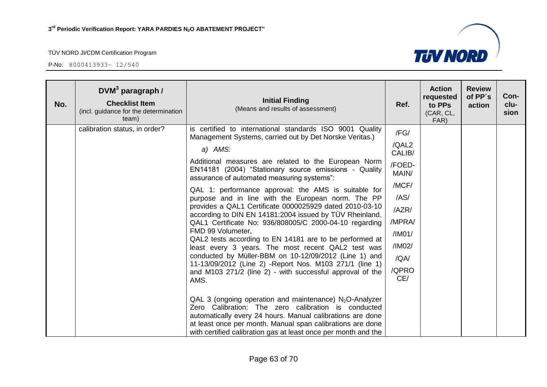

| No. | DVM <sup>3</sup> paragraph /<br><b>Checklist Item</b><br>(incl. guidance for the determination<br>team) | <b>Initial Finding</b><br>(Means and results of assessment)                                                                                                                                                                                                                                                                                                                                                                                                                                                                                                                                                                                                                                                                                                                                                                                                                                                                 | Ref.                                                                                                                       | <b>Action</b><br>requested<br>to PPs<br>(CAR, CL,<br>FAR) | <b>Review</b><br>of PP's<br>action | Con-<br>clu-<br>sion |
|-----|---------------------------------------------------------------------------------------------------------|-----------------------------------------------------------------------------------------------------------------------------------------------------------------------------------------------------------------------------------------------------------------------------------------------------------------------------------------------------------------------------------------------------------------------------------------------------------------------------------------------------------------------------------------------------------------------------------------------------------------------------------------------------------------------------------------------------------------------------------------------------------------------------------------------------------------------------------------------------------------------------------------------------------------------------|----------------------------------------------------------------------------------------------------------------------------|-----------------------------------------------------------|------------------------------------|----------------------|
|     | calibration status, in order?                                                                           | is certified to international standards ISO 9001 Quality<br>Management Systems, carried out by Det Norske Veritas.)<br>a) AMS:<br>Additional measures are related to the European Norm<br>EN14181 (2004) "Stationary source emissions - Quality<br>assurance of automated measuring systems":<br>QAL 1: performance approval: the AMS is suitable for<br>purpose and in line with the European norm. The PP<br>provides a QAL1 Certificate 0000025929 dated 2010-03-10<br>according to DIN EN 14181:2004 issued by TÜV Rheinland.<br>QAL1 Certificate No: 936/808005/C 2000-04-10 regarding<br>FMD 99 Volumeter,<br>QAL2 tests according to EN 14181 are to be performed at<br>least every 3 years. The most recent QAL2 test was<br>conducted by Müller-BBM on 10-12/09/2012 (Line 1) and<br>11-13/09/2012 (Line 2) - Report Nos. M103 271/1 (line 1)<br>and M103 271/2 (line 2) - with successful approval of the<br>AMS. | /FG/<br>/QAL2<br>CALIB/<br>/FOED-<br>MAIN/<br>/MCF/<br>/AS/<br>/AZR/<br>/MPRA/<br>/IMO1/<br>/IM02/<br>/QA/<br>/QPRO<br>CE/ |                                                           |                                    |                      |
|     |                                                                                                         | QAL 3 (ongoing operation and maintenance) $N_2O$ -Analyzer<br>Zero Calibration: The zero calibration is conducted<br>automatically every 24 hours. Manual calibrations are done<br>at least once per month. Manual span calibrations are done<br>with certified calibration gas at least once per month and the                                                                                                                                                                                                                                                                                                                                                                                                                                                                                                                                                                                                             |                                                                                                                            |                                                           |                                    |                      |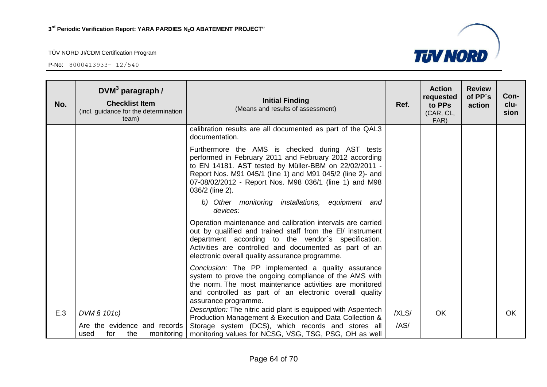

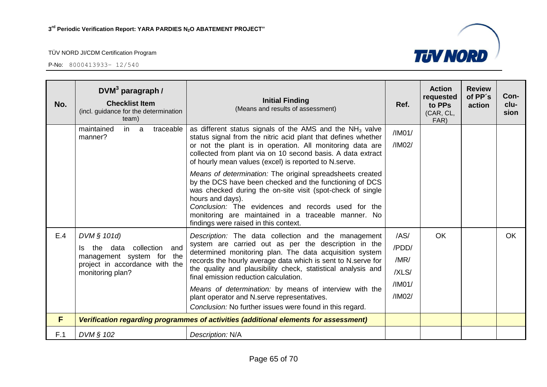

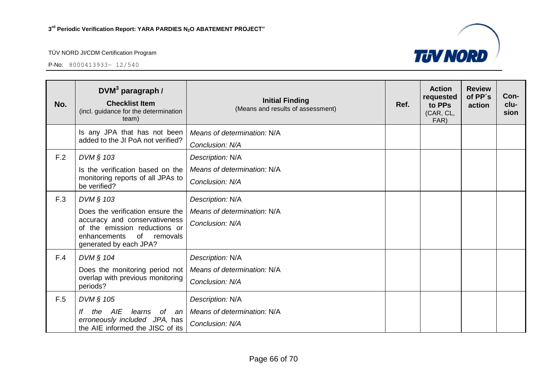

| No. | $DVM3$ paragraph /<br><b>Checklist Item</b><br>(incl. guidance for the determination<br>team)                              | <b>Initial Finding</b><br>(Means and results of assessment) | Ref. | <b>Action</b><br>requested<br>to PPs<br>(CAR, CL,<br>FAR) | <b>Review</b><br>of PP's<br>action | Con-<br>clu-<br>sion |
|-----|----------------------------------------------------------------------------------------------------------------------------|-------------------------------------------------------------|------|-----------------------------------------------------------|------------------------------------|----------------------|
|     | Is any JPA that has not been<br>added to the JI PoA not verified?                                                          | Means of determination: N/A                                 |      |                                                           |                                    |                      |
|     |                                                                                                                            | Conclusion: N/A                                             |      |                                                           |                                    |                      |
| F.2 | DVM § 103                                                                                                                  | Description: N/A                                            |      |                                                           |                                    |                      |
|     | Is the verification based on the                                                                                           | Means of determination: N/A                                 |      |                                                           |                                    |                      |
|     | monitoring reports of all JPAs to<br>be verified?                                                                          | Conclusion: N/A                                             |      |                                                           |                                    |                      |
| F.3 | DVM § 103                                                                                                                  | Description: N/A                                            |      |                                                           |                                    |                      |
|     | Does the verification ensure the                                                                                           | Means of determination: N/A                                 |      |                                                           |                                    |                      |
|     | accuracy and conservativeness<br>of the emission reductions or<br>enhancements<br>of<br>removals<br>generated by each JPA? | Conclusion: N/A                                             |      |                                                           |                                    |                      |
| F.4 | DVM § 104                                                                                                                  | Description: N/A                                            |      |                                                           |                                    |                      |
|     | Does the monitoring period not                                                                                             | Means of determination: N/A                                 |      |                                                           |                                    |                      |
|     | overlap with previous monitoring<br>periods?                                                                               | Conclusion: N/A                                             |      |                                                           |                                    |                      |
| F.5 | DVM § 105                                                                                                                  | Description: N/A                                            |      |                                                           |                                    |                      |
|     | AIE<br>learns of an<br>the                                                                                                 | Means of determination: N/A                                 |      |                                                           |                                    |                      |
|     | erroneously included JPA, has<br>the AIE informed the JISC of its                                                          | Conclusion: N/A                                             |      |                                                           |                                    |                      |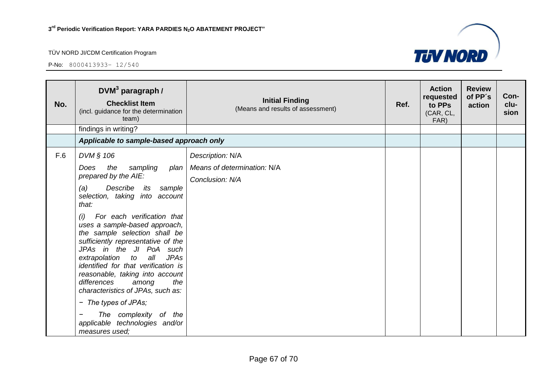

| No. | $DWM3$ paragraph /<br><b>Checklist Item</b><br>(incl. guidance for the determination<br>team)                                                                                                                                                                                                                                                                                                                                                                                                                                                                                                          | <b>Initial Finding</b><br>(Means and results of assessment)        | Ref. | <b>Action</b><br>requested<br>to PPs<br>(CAR, CL,<br>FAR) | <b>Review</b><br>of PP's<br>action | Con-<br>clu-<br>sion |
|-----|--------------------------------------------------------------------------------------------------------------------------------------------------------------------------------------------------------------------------------------------------------------------------------------------------------------------------------------------------------------------------------------------------------------------------------------------------------------------------------------------------------------------------------------------------------------------------------------------------------|--------------------------------------------------------------------|------|-----------------------------------------------------------|------------------------------------|----------------------|
|     | findings in writing?                                                                                                                                                                                                                                                                                                                                                                                                                                                                                                                                                                                   |                                                                    |      |                                                           |                                    |                      |
|     | Applicable to sample-based approach only                                                                                                                                                                                                                                                                                                                                                                                                                                                                                                                                                               |                                                                    |      |                                                           |                                    |                      |
| F.6 | DVM § 106<br>the<br>sampling<br>Does<br>plan<br>prepared by the AIE:<br>Describe<br>(a)<br>its<br>sample<br>selection, taking into account<br>that:<br>For each verification that<br>(i)<br>uses a sample-based approach,<br>the sample selection shall be<br>sufficiently representative of the<br>JPAs in the JI PoA such<br>extrapolation to<br>all<br><b>JPAs</b><br>identified for that verification is<br>reasonable, taking into account<br>differences<br>the<br>among<br>characteristics of JPAs, such as:<br>- The types of JPAs;<br>The complexity of the<br>applicable technologies and/or | Description: N/A<br>Means of determination: N/A<br>Conclusion: N/A |      |                                                           |                                    |                      |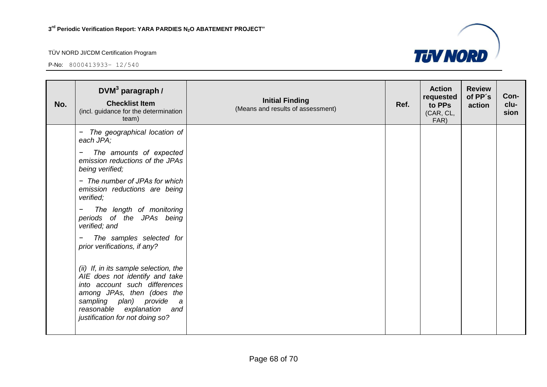

| No. | $DWM3$ paragraph /<br><b>Checklist Item</b><br>(incl. guidance for the determination<br>team)                                                                                                                                             | <b>Initial Finding</b><br>(Means and results of assessment) | Ref. | <b>Action</b><br>requested<br>to PPs<br>(CAR, CL,<br>FAR) | <b>Review</b><br>of PP's<br>action | Con-<br>clu-<br>sion |
|-----|-------------------------------------------------------------------------------------------------------------------------------------------------------------------------------------------------------------------------------------------|-------------------------------------------------------------|------|-----------------------------------------------------------|------------------------------------|----------------------|
|     | - The geographical location of<br>each JPA;                                                                                                                                                                                               |                                                             |      |                                                           |                                    |                      |
|     | The amounts of expected<br>emission reductions of the JPAs<br>being verified;                                                                                                                                                             |                                                             |      |                                                           |                                    |                      |
|     | - The number of JPAs for which<br>emission reductions are being<br>verified;                                                                                                                                                              |                                                             |      |                                                           |                                    |                      |
|     | The length of monitoring<br>periods of the JPAs being<br>verified; and                                                                                                                                                                    |                                                             |      |                                                           |                                    |                      |
|     | The samples selected for<br>prior verifications, if any?                                                                                                                                                                                  |                                                             |      |                                                           |                                    |                      |
|     | (ii) If, in its sample selection, the<br>AIE does not identify and take<br>into account such differences<br>among JPAs, then (does the<br>sampling plan) provide<br>a<br>reasonable explanation<br>and<br>justification for not doing so? |                                                             |      |                                                           |                                    |                      |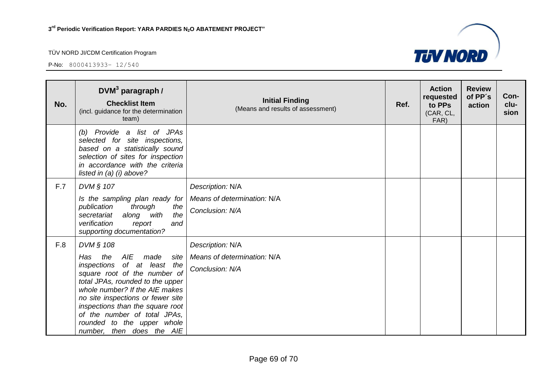

| No. | $DWM3$ paragraph /<br><b>Checklist Item</b><br>(incl. guidance for the determination<br>team)                                                                                                                                                                                                                                                              | <b>Initial Finding</b><br>(Means and results of assessment)        | Ref. | <b>Action</b><br>requested<br>to PPs<br>(CAR, CL,<br>FAR) | <b>Review</b><br>of PP's<br>action | Con-<br>clu-<br>sion |
|-----|------------------------------------------------------------------------------------------------------------------------------------------------------------------------------------------------------------------------------------------------------------------------------------------------------------------------------------------------------------|--------------------------------------------------------------------|------|-----------------------------------------------------------|------------------------------------|----------------------|
|     | (b) Provide a list of JPAs<br>selected for site inspections,<br>based on a statistically sound<br>selection of sites for inspection<br>in accordance with the criteria<br>listed in $(a)$ (i) above?                                                                                                                                                       |                                                                    |      |                                                           |                                    |                      |
| F.7 | DVM § 107<br>Is the sampling plan ready for<br>through<br>publication<br>the<br>along with<br>the<br>secretariat<br>verification<br>and<br>report<br>supporting documentation?                                                                                                                                                                             | Description: N/A<br>Means of determination: N/A<br>Conclusion: N/A |      |                                                           |                                    |                      |
| F.8 | DVM § 108<br>AIE<br>Has<br>the<br>made<br>site<br>of at least the<br>inspections<br>square root of the number of<br>total JPAs, rounded to the upper<br>whole number? If the AIE makes<br>no site inspections or fewer site<br>inspections than the square root<br>of the number of total JPAs,<br>rounded to the upper whole<br>number, then does the AIE | Description: N/A<br>Means of determination: N/A<br>Conclusion: N/A |      |                                                           |                                    |                      |